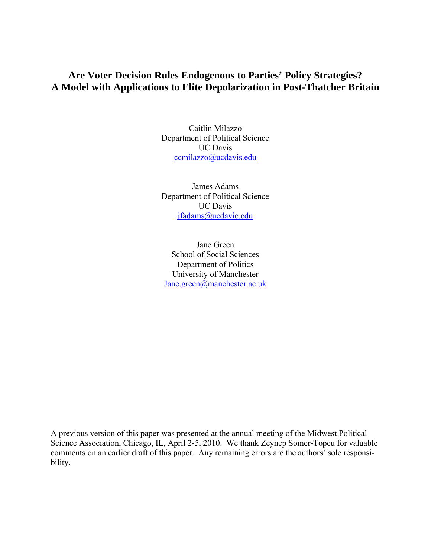# **Are Voter Decision Rules Endogenous to Parties' Policy Strategies? A Model with Applications to Elite Depolarization in Post-Thatcher Britain**

Caitlin Milazzo Department of Political Science UC Davis [ccmilazzo@ucdavis.edu](mailto:ccmilazzo@ucdavis.edu)

James Adams Department of Political Science UC Davis [jfadams@ucdavic.edu](mailto:jfadams@ucdavic.edu)

Jane Green School of Social Sciences Department of Politics University of Manchester [Jane.green@manchester.ac.uk](mailto:Jane.green@manchester.ac.uk)

A previous version of this paper was presented at the annual meeting of the Midwest Political Science Association, Chicago, IL, April 2-5, 2010. We thank Zeynep Somer-Topcu for valuable comments on an earlier draft of this paper. Any remaining errors are the authors' sole responsibility.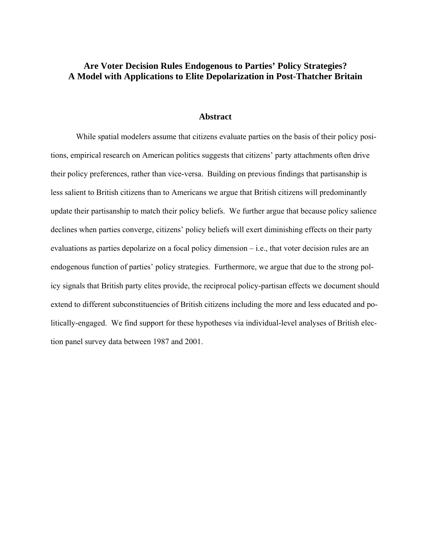### **Are Voter Decision Rules Endogenous to Parties' Policy Strategies? A Model with Applications to Elite Depolarization in Post-Thatcher Britain**

#### **Abstract**

 While spatial modelers assume that citizens evaluate parties on the basis of their policy positions, empirical research on American politics suggests that citizens' party attachments often drive their policy preferences, rather than vice-versa. Building on previous findings that partisanship is less salient to British citizens than to Americans we argue that British citizens will predominantly update their partisanship to match their policy beliefs. We further argue that because policy salience declines when parties converge, citizens' policy beliefs will exert diminishing effects on their party evaluations as parties depolarize on a focal policy dimension – i.e., that voter decision rules are an endogenous function of parties' policy strategies. Furthermore, we argue that due to the strong policy signals that British party elites provide, the reciprocal policy-partisan effects we document should extend to different subconstituencies of British citizens including the more and less educated and politically-engaged. We find support for these hypotheses via individual-level analyses of British election panel survey data between 1987 and 2001.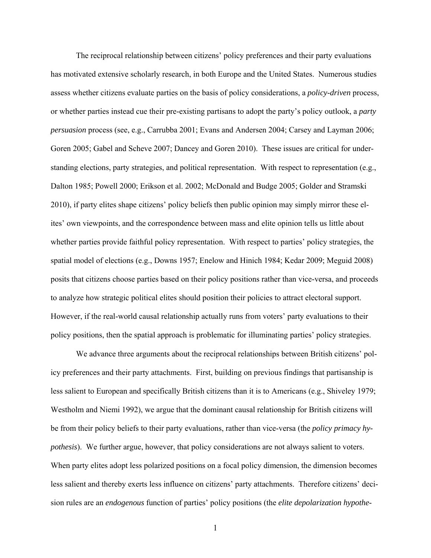The reciprocal relationship between citizens' policy preferences and their party evaluations has motivated extensive scholarly research, in both Europe and the United States. Numerous studies assess whether citizens evaluate parties on the basis of policy considerations, a *policy-driven* process, or whether parties instead cue their pre-existing partisans to adopt the party's policy outlook, a *party persuasion* process (see, e.g., Carrubba 2001; Evans and Andersen 2004; Carsey and Layman 2006; Goren 2005; Gabel and Scheve 2007; Dancey and Goren 2010). These issues are critical for understanding elections, party strategies, and political representation. With respect to representation (e.g., Dalton 1985; Powell 2000; Erikson et al. 2002; McDonald and Budge 2005; Golder and Stramski 2010), if party elites shape citizens' policy beliefs then public opinion may simply mirror these elites' own viewpoints, and the correspondence between mass and elite opinion tells us little about whether parties provide faithful policy representation. With respect to parties' policy strategies, the spatial model of elections (e.g., Downs 1957; Enelow and Hinich 1984; Kedar 2009; Meguid 2008) posits that citizens choose parties based on their policy positions rather than vice-versa, and proceeds to analyze how strategic political elites should position their policies to attract electoral support. However, if the real-world causal relationship actually runs from voters' party evaluations to their policy positions, then the spatial approach is problematic for illuminating parties' policy strategies.

 We advance three arguments about the reciprocal relationships between British citizens' policy preferences and their party attachments. First, building on previous findings that partisanship is less salient to European and specifically British citizens than it is to Americans (e.g., Shiveley 1979; Westholm and Niemi 1992), we argue that the dominant causal relationship for British citizens will be from their policy beliefs to their party evaluations, rather than vice-versa (the *policy primacy hypothesis*). We further argue, however, that policy considerations are not always salient to voters. When party elites adopt less polarized positions on a focal policy dimension, the dimension becomes less salient and thereby exerts less influence on citizens' party attachments. Therefore citizens' decision rules are an *endogenous* function of parties' policy positions (the *elite depolarization hypothe-*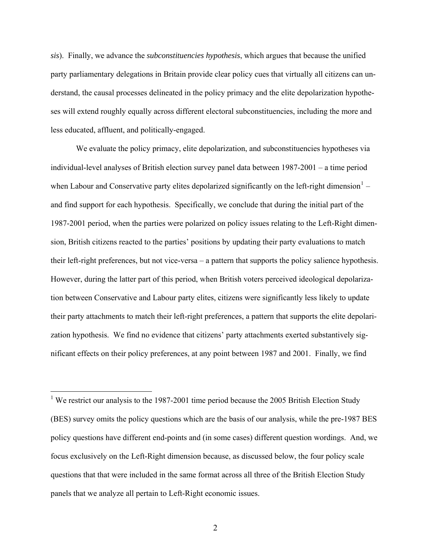*sis*). Finally, we advance the *subconstituencies hypothesis*, which argues that because the unified party parliamentary delegations in Britain provide clear policy cues that virtually all citizens can understand, the causal processes delineated in the policy primacy and the elite depolarization hypotheses will extend roughly equally across different electoral subconstituencies, including the more and less educated, affluent, and politically-engaged.

We evaluate the policy primacy, elite depolarization, and subconstituencies hypotheses via individual-level analyses of British election survey panel data between 1987-2001 – a time period when Labour and Conservative party elites depolarized significantly on the left-right dimension $1$  – and find support for each hypothesis. Specifically, we conclude that during the initial part of the 1987-2001 period, when the parties were polarized on policy issues relating to the Left-Right dimension, British citizens reacted to the parties' positions by updating their party evaluations to match their left-right preferences, but not vice-versa – a pattern that supports the policy salience hypothesis. However, during the latter part of this period, when British voters perceived ideological depolarization between Conservative and Labour party elites, citizens were significantly less likely to update their party attachments to match their left-right preferences, a pattern that supports the elite depolarization hypothesis. We find no evidence that citizens' party attachments exerted substantively significant effects on their policy preferences, at any point between 1987 and 2001. Finally, we find

<span id="page-3-0"></span><sup>&</sup>lt;sup>1</sup> We restrict our analysis to the 1987-2001 time period because the 2005 British Election Study (BES) survey omits the policy questions which are the basis of our analysis, while the pre-1987 BES policy questions have different end-points and (in some cases) different question wordings. And, we focus exclusively on the Left-Right dimension because, as discussed below, the four policy scale questions that that were included in the same format across all three of the British Election Study panels that we analyze all pertain to Left-Right economic issues.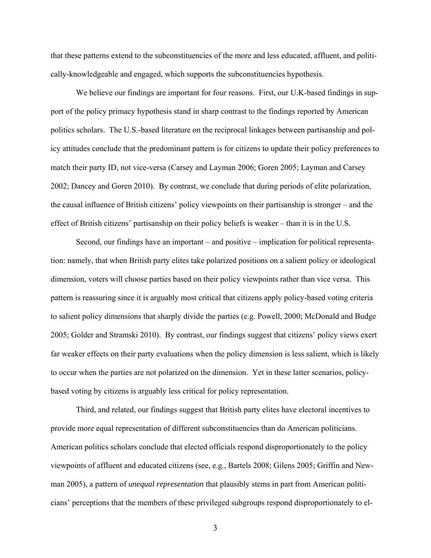that these patterns extend to the subconstituencies of the more and less educated, affluent, and politically-knowledgeable and engaged, which supports the subconstituencies hypothesis.

We believe our findings are important for four reasons. First, our U.K-based findings in support of the policy primacy hypothesis stand in sharp contrast to the findings reported by American politics scholars. The U.S.-based literature on the reciprocal linkages between partisanship and policy attitudes conclude that the predominant pattern is for citizens to update their policy preferences to match their party ID, not vice-versa (Carsey and Layman 2006; Goren 2005; Layman and Carsey 2002; Dancey and Goren 2010). By contrast, we conclude that during periods of elite polarization, the causal influence of British citizens' policy viewpoints on their partisanship is stronger – and the effect of British citizens' partisanship on their policy beliefs is weaker – than it is in the U.S.

 Second, our findings have an important – and positive – implication for political representation: namely, that when British party elites take polarized positions on a salient policy or ideological dimension, voters will choose parties based on their policy viewpoints rather than vice versa. This pattern is reassuring since it is arguably most critical that citizens apply policy-based voting criteria to salient policy dimensions that sharply divide the parties (e.g. Powell, 2000; McDonald and Budge 2005; Golder and Stramski 2010). By contrast, our findings suggest that citizens' policy views exert far weaker effects on their party evaluations when the policy dimension is less salient, which is likely to occur when the parties are not polarized on the dimension. Yet in these latter scenarios, policybased voting by citizens is arguably less critical for policy representation.

 Third, and related, our findings suggest that British party elites have electoral incentives to provide more equal representation of different subconstituencies than do American politicians. American politics scholars conclude that elected officials respond disproportionately to the policy viewpoints of affluent and educated citizens (see, e.g., Bartels 2008; Gilens 2005; Griffin and Newman 2005), a pattern of *unequal representation* that plausibly stems in part from American politicians' perceptions that the members of these privileged subgroups respond disproportionately to el-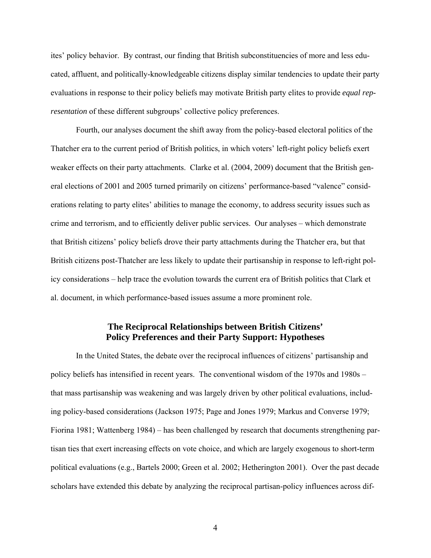ites' policy behavior. By contrast, our finding that British subconstituencies of more and less educated, affluent, and politically-knowledgeable citizens display similar tendencies to update their party evaluations in response to their policy beliefs may motivate British party elites to provide *equal representation* of these different subgroups' collective policy preferences.

Fourth, our analyses document the shift away from the policy-based electoral politics of the Thatcher era to the current period of British politics, in which voters' left-right policy beliefs exert weaker effects on their party attachments. Clarke et al. (2004, 2009) document that the British general elections of 2001 and 2005 turned primarily on citizens' performance-based "valence" considerations relating to party elites' abilities to manage the economy, to address security issues such as crime and terrorism, and to efficiently deliver public services. Our analyses – which demonstrate that British citizens' policy beliefs drove their party attachments during the Thatcher era, but that British citizens post-Thatcher are less likely to update their partisanship in response to left-right policy considerations – help trace the evolution towards the current era of British politics that Clark et al. document, in which performance-based issues assume a more prominent role.

### **The Reciprocal Relationships between British Citizens' Policy Preferences and their Party Support: Hypotheses**

In the United States, the debate over the reciprocal influences of citizens' partisanship and policy beliefs has intensified in recent years. The conventional wisdom of the 1970s and 1980s – that mass partisanship was weakening and was largely driven by other political evaluations, including policy-based considerations (Jackson 1975; Page and Jones 1979; Markus and Converse 1979; Fiorina 1981; Wattenberg 1984) – has been challenged by research that documents strengthening partisan ties that exert increasing effects on vote choice, and which are largely exogenous to short-term political evaluations (e.g., Bartels 2000; Green et al. 2002; Hetherington 2001). Over the past decade scholars have extended this debate by analyzing the reciprocal partisan-policy influences across dif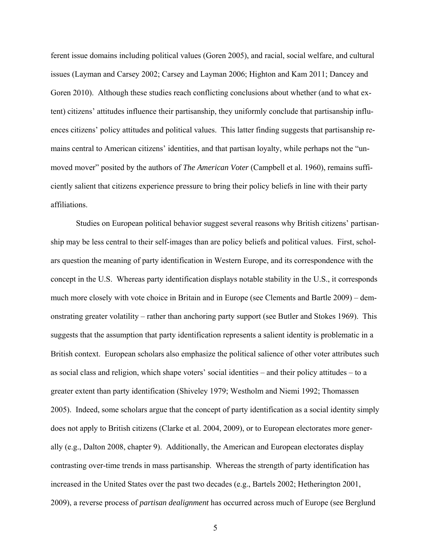ferent issue domains including political values (Goren 2005), and racial, social welfare, and cultural issues (Layman and Carsey 2002; Carsey and Layman 2006; Highton and Kam 2011; Dancey and Goren 2010). Although these studies reach conflicting conclusions about whether (and to what extent) citizens' attitudes influence their partisanship, they uniformly conclude that partisanship influences citizens' policy attitudes and political values. This latter finding suggests that partisanship remains central to American citizens' identities, and that partisan loyalty, while perhaps not the "unmoved mover" posited by the authors of *The American Voter* (Campbell et al. 1960), remains sufficiently salient that citizens experience pressure to bring their policy beliefs in line with their party affiliations.

Studies on European political behavior suggest several reasons why British citizens' partisanship may be less central to their self-images than are policy beliefs and political values. First, scholars question the meaning of party identification in Western Europe, and its correspondence with the concept in the U.S. Whereas party identification displays notable stability in the U.S., it corresponds much more closely with vote choice in Britain and in Europe (see Clements and Bartle 2009) – demonstrating greater volatility – rather than anchoring party support (see Butler and Stokes 1969). This suggests that the assumption that party identification represents a salient identity is problematic in a British context. European scholars also emphasize the political salience of other voter attributes such as social class and religion, which shape voters' social identities – and their policy attitudes – to a greater extent than party identification (Shiveley 1979; Westholm and Niemi 1992; Thomassen 2005). Indeed, some scholars argue that the concept of party identification as a social identity simply does not apply to British citizens (Clarke et al. 2004, 2009), or to European electorates more generally (e.g., Dalton 2008, chapter 9). Additionally, the American and European electorates display contrasting over-time trends in mass partisanship. Whereas the strength of party identification has increased in the United States over the past two decades (e.g., Bartels 2002; Hetherington 2001, 2009), a reverse process of *partisan dealignment* has occurred across much of Europe (see Berglund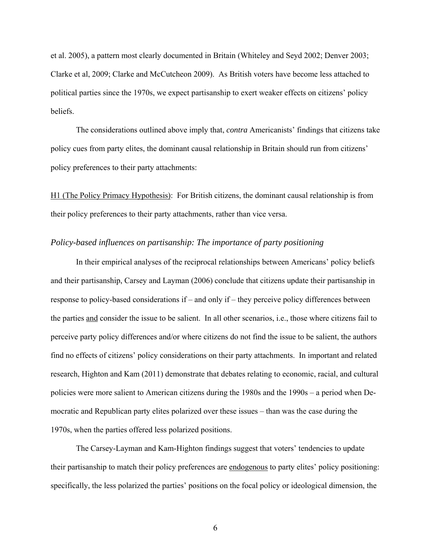et al. 2005), a pattern most clearly documented in Britain (Whiteley and Seyd 2002; Denver 2003; Clarke et al, 2009; Clarke and McCutcheon 2009). As British voters have become less attached to political parties since the 1970s, we expect partisanship to exert weaker effects on citizens' policy beliefs.

The considerations outlined above imply that, *contra* Americanists' findings that citizens take policy cues from party elites, the dominant causal relationship in Britain should run from citizens' policy preferences to their party attachments:

H1 (The Policy Primacy Hypothesis): For British citizens, the dominant causal relationship is from their policy preferences to their party attachments, rather than vice versa.

#### *Policy-based influences on partisanship: The importance of party positioning*

In their empirical analyses of the reciprocal relationships between Americans' policy beliefs and their partisanship, Carsey and Layman (2006) conclude that citizens update their partisanship in response to policy-based considerations if – and only if – they perceive policy differences between the parties and consider the issue to be salient. In all other scenarios, i.e., those where citizens fail to perceive party policy differences and/or where citizens do not find the issue to be salient, the authors find no effects of citizens' policy considerations on their party attachments. In important and related research, Highton and Kam (2011) demonstrate that debates relating to economic, racial, and cultural policies were more salient to American citizens during the 1980s and the 1990s – a period when Democratic and Republican party elites polarized over these issues – than was the case during the 1970s, when the parties offered less polarized positions.

The Carsey-Layman and Kam-Highton findings suggest that voters' tendencies to update their partisanship to match their policy preferences are endogenous to party elites' policy positioning: specifically, the less polarized the parties' positions on the focal policy or ideological dimension, the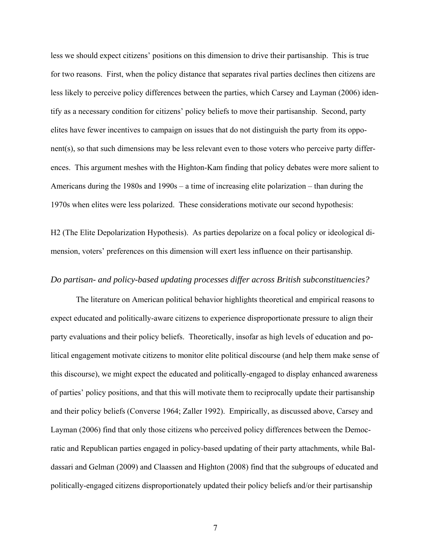less we should expect citizens' positions on this dimension to drive their partisanship. This is true for two reasons. First, when the policy distance that separates rival parties declines then citizens are less likely to perceive policy differences between the parties, which Carsey and Layman (2006) identify as a necessary condition for citizens' policy beliefs to move their partisanship. Second, party elites have fewer incentives to campaign on issues that do not distinguish the party from its opponent(s), so that such dimensions may be less relevant even to those voters who perceive party differences. This argument meshes with the Highton-Kam finding that policy debates were more salient to Americans during the 1980s and 1990s – a time of increasing elite polarization – than during the 1970s when elites were less polarized. These considerations motivate our second hypothesis:

H2 (The Elite Depolarization Hypothesis). As parties depolarize on a focal policy or ideological dimension, voters' preferences on this dimension will exert less influence on their partisanship.

### *Do partisan- and policy-based updating processes differ across British subconstituencies?*

The literature on American political behavior highlights theoretical and empirical reasons to expect educated and politically-aware citizens to experience disproportionate pressure to align their party evaluations and their policy beliefs. Theoretically, insofar as high levels of education and political engagement motivate citizens to monitor elite political discourse (and help them make sense of this discourse), we might expect the educated and politically-engaged to display enhanced awareness of parties' policy positions, and that this will motivate them to reciprocally update their partisanship and their policy beliefs (Converse 1964; Zaller 1992). Empirically, as discussed above, Carsey and Layman (2006) find that only those citizens who perceived policy differences between the Democratic and Republican parties engaged in policy-based updating of their party attachments, while Baldassari and Gelman (2009) and Claassen and Highton (2008) find that the subgroups of educated and politically-engaged citizens disproportionately updated their policy beliefs and/or their partisanship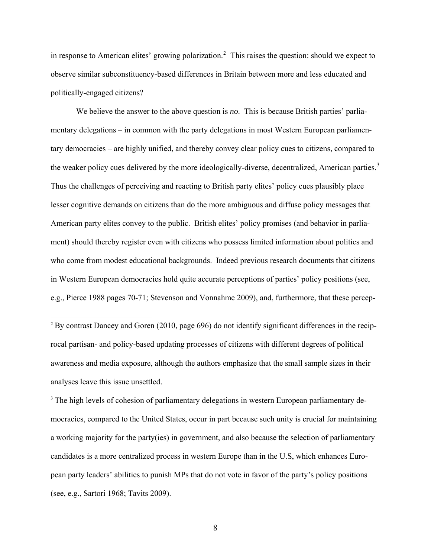in response to American elites' growing polarization.<sup>[2](#page-9-0)</sup> This raises the question: should we expect to observe similar subconstituency-based differences in Britain between more and less educated and politically-engaged citizens?

We believe the answer to the above question is *no*. This is because British parties' parliamentary delegations – in common with the party delegations in most Western European parliamentary democracies – are highly unified, and thereby convey clear policy cues to citizens, compared to the weaker policy cues delivered by the more ideologically-diverse, decentralized, American parties.<sup>[3](#page-9-1)</sup> Thus the challenges of perceiving and reacting to British party elites' policy cues plausibly place lesser cognitive demands on citizens than do the more ambiguous and diffuse policy messages that American party elites convey to the public. British elites' policy promises (and behavior in parliament) should thereby register even with citizens who possess limited information about politics and who come from modest educational backgrounds. Indeed previous research documents that citizens in Western European democracies hold quite accurate perceptions of parties' policy positions (see, e.g., Pierce 1988 pages 70-71; Stevenson and Vonnahme 2009), and, furthermore, that these percep-

 $\overline{a}$ 

<span id="page-9-1"></span><sup>3</sup> The high levels of cohesion of parliamentary delegations in western European parliamentary democracies, compared to the United States, occur in part because such unity is crucial for maintaining a working majority for the party(ies) in government, and also because the selection of parliamentary candidates is a more centralized process in western Europe than in the U.S, which enhances European party leaders' abilities to punish MPs that do not vote in favor of the party's policy positions (see, e.g., Sartori 1968; Tavits 2009).

<span id="page-9-0"></span><sup>&</sup>lt;sup>2</sup> By contrast Dancey and Goren (2010, page 696) do not identify significant differences in the reciprocal partisan- and policy-based updating processes of citizens with different degrees of political awareness and media exposure, although the authors emphasize that the small sample sizes in their analyses leave this issue unsettled.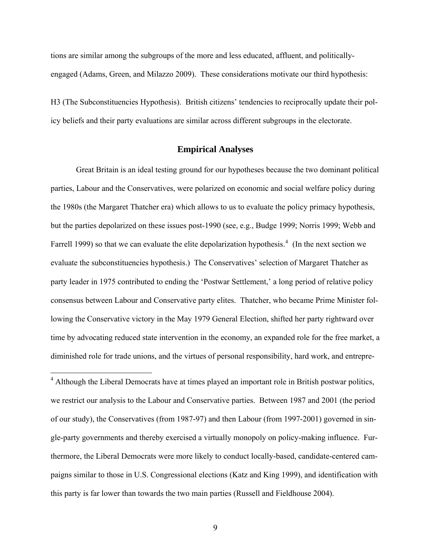tions are similar among the subgroups of the more and less educated, affluent, and politicallyengaged (Adams, Green, and Milazzo 2009). These considerations motivate our third hypothesis:

H3 (The Subconstituencies Hypothesis). British citizens' tendencies to reciprocally update their policy beliefs and their party evaluations are similar across different subgroups in the electorate.

#### **Empirical Analyses**

Great Britain is an ideal testing ground for our hypotheses because the two dominant political parties, Labour and the Conservatives, were polarized on economic and social welfare policy during the 1980s (the Margaret Thatcher era) which allows to us to evaluate the policy primacy hypothesis, but the parties depolarized on these issues post-1990 (see, e.g., Budge 1999; Norris 1999; Webb and Farrell 1999) so that we can evaluate the elite depolarization hypothesis.<sup>[4](#page-10-0)</sup> (In the next section we evaluate the subconstituencies hypothesis.) The Conservatives' selection of Margaret Thatcher as party leader in 1975 contributed to ending the 'Postwar Settlement,' a long period of relative policy consensus between Labour and Conservative party elites. Thatcher, who became Prime Minister following the Conservative victory in the May 1979 General Election, shifted her party rightward over time by advocating reduced state intervention in the economy, an expanded role for the free market, a diminished role for trade unions, and the virtues of personal responsibility, hard work, and entrepre-

<span id="page-10-0"></span><sup>4</sup> Although the Liberal Democrats have at times played an important role in British postwar politics, we restrict our analysis to the Labour and Conservative parties. Between 1987 and 2001 (the period of our study), the Conservatives (from 1987-97) and then Labour (from 1997-2001) governed in single-party governments and thereby exercised a virtually monopoly on policy-making influence. Furthermore, the Liberal Democrats were more likely to conduct locally-based, candidate-centered campaigns similar to those in U.S. Congressional elections (Katz and King 1999), and identification with this party is far lower than towards the two main parties (Russell and Fieldhouse 2004).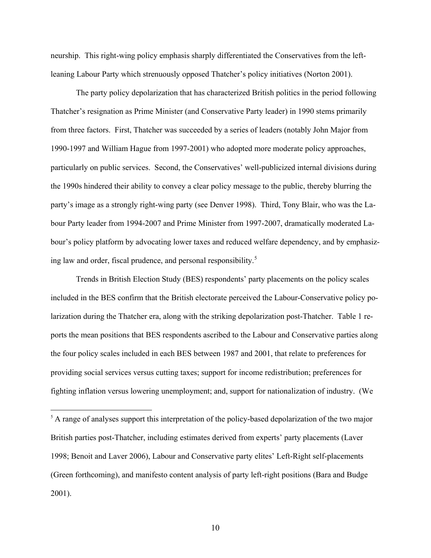neurship. This right-wing policy emphasis sharply differentiated the Conservatives from the leftleaning Labour Party which strenuously opposed Thatcher's policy initiatives (Norton 2001).

The party policy depolarization that has characterized British politics in the period following Thatcher's resignation as Prime Minister (and Conservative Party leader) in 1990 stems primarily from three factors. First, Thatcher was succeeded by a series of leaders (notably John Major from 1990-1997 and William Hague from 1997-2001) who adopted more moderate policy approaches, particularly on public services. Second, the Conservatives' well-publicized internal divisions during the 1990s hindered their ability to convey a clear policy message to the public, thereby blurring the party's image as a strongly right-wing party (see Denver 1998). Third, Tony Blair, who was the Labour Party leader from 1994-2007 and Prime Minister from 1997-2007, dramatically moderated Labour's policy platform by advocating lower taxes and reduced welfare dependency, and by emphasiz-ing law and order, fiscal prudence, and personal responsibility.<sup>[5](#page-11-0)</sup>

Trends in British Election Study (BES) respondents' party placements on the policy scales included in the BES confirm that the British electorate perceived the Labour-Conservative policy polarization during the Thatcher era, along with the striking depolarization post-Thatcher. Table 1 reports the mean positions that BES respondents ascribed to the Labour and Conservative parties along the four policy scales included in each BES between 1987 and 2001, that relate to preferences for providing social services versus cutting taxes; support for income redistribution; preferences for fighting inflation versus lowering unemployment; and, support for nationalization of industry. (We

<span id="page-11-0"></span><sup>&</sup>lt;sup>5</sup> A range of analyses support this interpretation of the policy-based depolarization of the two major British parties post-Thatcher, including estimates derived from experts' party placements (Laver 1998; Benoit and Laver 2006), Labour and Conservative party elites' Left-Right self-placements (Green forthcoming), and manifesto content analysis of party left-right positions (Bara and Budge 2001).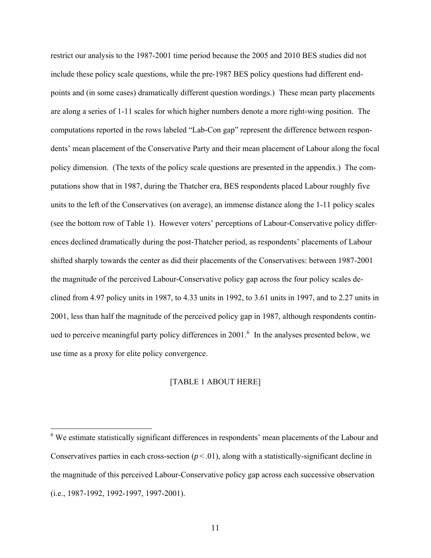restrict our analysis to the 1987-2001 time period because the 2005 and 2010 BES studies did not include these policy scale questions, while the pre-1987 BES policy questions had different endpoints and (in some cases) dramatically different question wordings.) These mean party placements are along a series of 1-11 scales for which higher numbers denote a more right-wing position. The computations reported in the rows labeled "Lab-Con gap" represent the difference between respondents' mean placement of the Conservative Party and their mean placement of Labour along the focal policy dimension. (The texts of the policy scale questions are presented in the appendix.) The computations show that in 1987, during the Thatcher era, BES respondents placed Labour roughly five units to the left of the Conservatives (on average), an immense distance along the 1-11 policy scales (see the bottom row of Table 1). However voters' perceptions of Labour-Conservative policy differences declined dramatically during the post-Thatcher period, as respondents' placements of Labour shifted sharply towards the center as did their placements of the Conservatives: between 1987-2001 the magnitude of the perceived Labour-Conservative policy gap across the four policy scales declined from 4.97 policy units in 1987, to 4.33 units in 1992, to 3.61 units in 1997, and to 2.27 units in 2001, less than half the magnitude of the perceived policy gap in 1987, although respondents contin-ued to perceive meaningful party policy differences in 2001.<sup>[6](#page-12-0)</sup> In the analyses presented below, we use time as a proxy for elite policy convergence.

### [TABLE 1 ABOUT HERE]

<span id="page-12-0"></span> 6 We estimate statistically significant differences in respondents' mean placements of the Labour and Conservatives parties in each cross-section  $(p < .01)$ , along with a statistically-significant decline in the magnitude of this perceived Labour-Conservative policy gap across each successive observation (i.e., 1987-1992, 1992-1997, 1997-2001).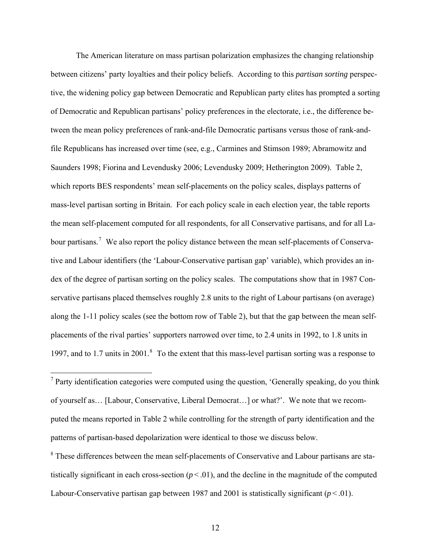The American literature on mass partisan polarization emphasizes the changing relationship between citizens' party loyalties and their policy beliefs. According to this *partisan sorting* perspective, the widening policy gap between Democratic and Republican party elites has prompted a sorting of Democratic and Republican partisans' policy preferences in the electorate, i.e., the difference between the mean policy preferences of rank-and-file Democratic partisans versus those of rank-andfile Republicans has increased over time (see, e.g., Carmines and Stimson 1989; Abramowitz and Saunders 1998; Fiorina and Levendusky 2006; Levendusky 2009; Hetherington 2009). Table 2, which reports BES respondents' mean self-placements on the policy scales, displays patterns of mass-level partisan sorting in Britain. For each policy scale in each election year, the table reports the mean self-placement computed for all respondents, for all Conservative partisans, and for all La-bour partisans.<sup>[7](#page-13-0)</sup> We also report the policy distance between the mean self-placements of Conservative and Labour identifiers (the 'Labour-Conservative partisan gap' variable), which provides an index of the degree of partisan sorting on the policy scales. The computations show that in 1987 Conservative partisans placed themselves roughly 2.8 units to the right of Labour partisans (on average) along the 1-11 policy scales (see the bottom row of Table 2), but that the gap between the mean selfplacements of the rival parties' supporters narrowed over time, to 2.4 units in 1992, to 1.8 units in 1997, and to 1.7 units in 2001.<sup>[8](#page-13-1)</sup> To the extent that this mass-level partisan sorting was a response to

 $\overline{a}$ 

<span id="page-13-1"></span> $8$  These differences between the mean self-placements of Conservative and Labour partisans are statistically significant in each cross-section  $(p < .01)$ , and the decline in the magnitude of the computed Labour-Conservative partisan gap between 1987 and 2001 is statistically significant  $(p < 0.01)$ .

<span id="page-13-0"></span> $<sup>7</sup>$  Party identification categories were computed using the question, 'Generally speaking, do you think</sup> of yourself as… [Labour, Conservative, Liberal Democrat…] or what?'. We note that we recomputed the means reported in Table 2 while controlling for the strength of party identification and the patterns of partisan-based depolarization were identical to those we discuss below.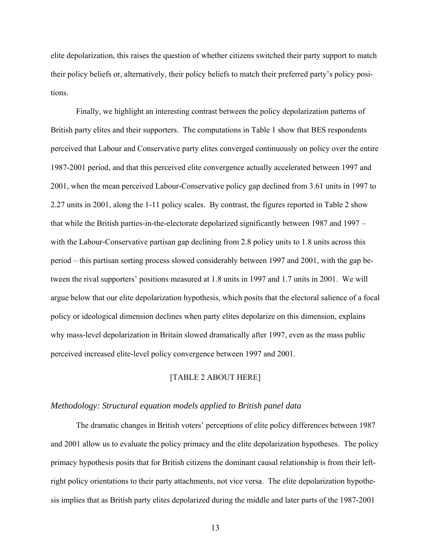elite depolarization, this raises the question of whether citizens switched their party support to match their policy beliefs or, alternatively, their policy beliefs to match their preferred party's policy positions.

 Finally, we highlight an interesting contrast between the policy depolarization patterns of British party elites and their supporters. The computations in Table 1 show that BES respondents perceived that Labour and Conservative party elites converged continuously on policy over the entire 1987-2001 period, and that this perceived elite convergence actually accelerated between 1997 and 2001, when the mean perceived Labour-Conservative policy gap declined from 3.61 units in 1997 to 2.27 units in 2001, along the 1-11 policy scales. By contrast, the figures reported in Table 2 show that while the British parties-in-the-electorate depolarized significantly between 1987 and 1997 – with the Labour-Conservative partisan gap declining from 2.8 policy units to 1.8 units across this period – this partisan sorting process slowed considerably between 1997 and 2001, with the gap between the rival supporters' positions measured at 1.8 units in 1997 and 1.7 units in 2001. We will argue below that our elite depolarization hypothesis, which posits that the electoral salience of a focal policy or ideological dimension declines when party elites depolarize on this dimension, explains why mass-level depolarization in Britain slowed dramatically after 1997, even as the mass public perceived increased elite-level policy convergence between 1997 and 2001.

### [TABLE 2 ABOUT HERE]

#### *Methodology: Structural equation models applied to British panel data*

The dramatic changes in British voters' perceptions of elite policy differences between 1987 and 2001 allow us to evaluate the policy primacy and the elite depolarization hypotheses. The policy primacy hypothesis posits that for British citizens the dominant causal relationship is from their leftright policy orientations to their party attachments, not vice versa. The elite depolarization hypothesis implies that as British party elites depolarized during the middle and later parts of the 1987-2001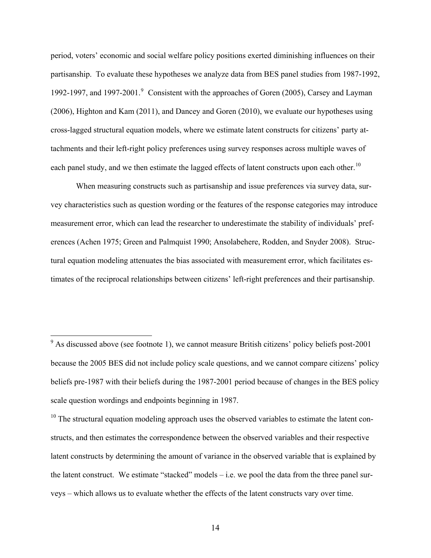period, voters' economic and social welfare policy positions exerted diminishing influences on their partisanship. To evaluate these hypotheses we analyze data from BES panel studies from 1987-1992, 1[9](#page-15-0)92-1997, and 1997-2001.<sup>9</sup> Consistent with the approaches of Goren (2005), Carsey and Layman (2006), Highton and Kam (2011), and Dancey and Goren (2010), we evaluate our hypotheses using cross-lagged structural equation models, where we estimate latent constructs for citizens' party attachments and their left-right policy preferences using survey responses across multiple waves of each panel study, and we then estimate the lagged effects of latent constructs upon each other.<sup>[10](#page-15-1)</sup>

When measuring constructs such as partisanship and issue preferences via survey data, survey characteristics such as question wording or the features of the response categories may introduce measurement error, which can lead the researcher to underestimate the stability of individuals' preferences (Achen 1975; Green and Palmquist 1990; Ansolabehere, Rodden, and Snyder 2008). Structural equation modeling attenuates the bias associated with measurement error, which facilitates estimates of the reciprocal relationships between citizens' left-right preferences and their partisanship.

<span id="page-15-1"></span> $10$  The structural equation modeling approach uses the observed variables to estimate the latent constructs, and then estimates the correspondence between the observed variables and their respective latent constructs by determining the amount of variance in the observed variable that is explained by the latent construct. We estimate "stacked" models  $-$  i.e. we pool the data from the three panel surveys – which allows us to evaluate whether the effects of the latent constructs vary over time.

<span id="page-15-0"></span><sup>&</sup>lt;sup>9</sup> As discussed above (see footnote 1), we cannot measure British citizens' policy beliefs post-2001 because the 2005 BES did not include policy scale questions, and we cannot compare citizens' policy beliefs pre-1987 with their beliefs during the 1987-2001 period because of changes in the BES policy scale question wordings and endpoints beginning in 1987.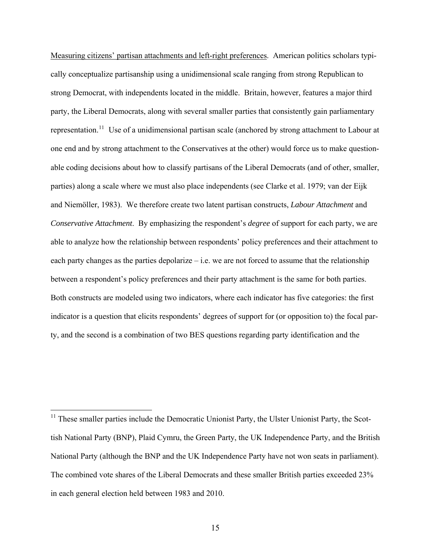Measuring citizens' partisan attachments and left-right preferences. American politics scholars typically conceptualize partisanship using a unidimensional scale ranging from strong Republican to strong Democrat, with independents located in the middle. Britain, however, features a major third party, the Liberal Democrats, along with several smaller parties that consistently gain parliamentary representation.[11](#page-16-0) Use of a unidimensional partisan scale (anchored by strong attachment to Labour at one end and by strong attachment to the Conservatives at the other) would force us to make questionable coding decisions about how to classify partisans of the Liberal Democrats (and of other, smaller, parties) along a scale where we must also place independents (see Clarke et al. 1979; van der Eijk and Niemöller, 1983). We therefore create two latent partisan constructs, *Labour Attachment* and *Conservative Attachment*. By emphasizing the respondent's *degree* of support for each party, we are able to analyze how the relationship between respondents' policy preferences and their attachment to each party changes as the parties depolarize – i.e. we are not forced to assume that the relationship between a respondent's policy preferences and their party attachment is the same for both parties. Both constructs are modeled using two indicators, where each indicator has five categories: the first indicator is a question that elicits respondents' degrees of support for (or opposition to) the focal party, and the second is a combination of two BES questions regarding party identification and the

<span id="page-16-0"></span> $11$  These smaller parties include the Democratic Unionist Party, the Ulster Unionist Party, the Scottish National Party (BNP), Plaid Cymru, the Green Party, the UK Independence Party, and the British National Party (although the BNP and the UK Independence Party have not won seats in parliament). The combined vote shares of the Liberal Democrats and these smaller British parties exceeded 23% in each general election held between 1983 and 2010.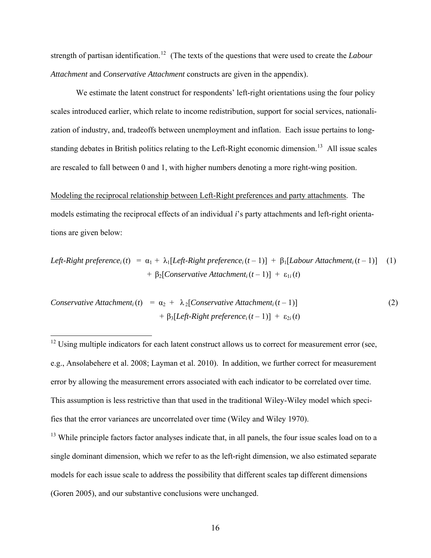strength of partisan identification.<sup>[12](#page-17-0)</sup> (The texts of the questions that were used to create the *Labour Attachment* and *Conservative Attachment* constructs are given in the appendix).

We estimate the latent construct for respondents' left-right orientations using the four policy scales introduced earlier, which relate to income redistribution, support for social services, nationalization of industry, and, tradeoffs between unemployment and inflation. Each issue pertains to long-standing debates in British politics relating to the Left-Right economic dimension.<sup>[13](#page-17-1)</sup> All issue scales are rescaled to fall between 0 and 1, with higher numbers denoting a more right-wing position.

Modeling the reciprocal relationship between Left-Right preferences and party attachments. The models estimating the reciprocal effects of an individual *i*'s party attachments and left-right orientations are given below:

Left-Right preference<sub>i</sub>(t) = 
$$
\alpha_1 + \lambda_1[Left\text{-Right preference}_i(t-1)] + \beta_1[Labour Attachment_i(t-1)]
$$
 (1)  
+  $\beta_2[Conservative Attachment_i(t-1)] + \varepsilon_{1i}(t)$ 

*Conservative Attachment<sub>i</sub>(t)* =  $\alpha_2$  +  $\lambda_2$ [*Conservative Attachment<sub>i</sub>(t-1)*] (2) +  $\beta_3[Left\text{-}Right\text{ }preference_i(t-1)] + \varepsilon_{2i}(t)$ 

<span id="page-17-0"></span> $12$  Using multiple indicators for each latent construct allows us to correct for measurement error (see, e.g., Ansolabehere et al. 2008; Layman et al. 2010). In addition, we further correct for measurement error by allowing the measurement errors associated with each indicator to be correlated over time. This assumption is less restrictive than that used in the traditional Wiley-Wiley model which specifies that the error variances are uncorrelated over time (Wiley and Wiley 1970).

 $\overline{a}$ 

<span id="page-17-1"></span><sup>13</sup> While principle factors factor analyses indicate that, in all panels, the four issue scales load on to a single dominant dimension, which we refer to as the left-right dimension, we also estimated separate models for each issue scale to address the possibility that different scales tap different dimensions (Goren 2005), and our substantive conclusions were unchanged.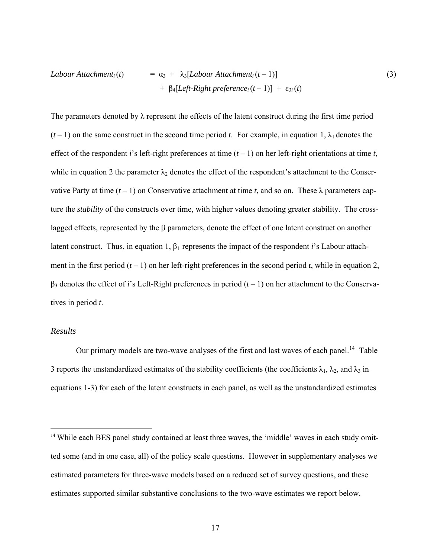$$
Labour Attachmenti(t) = \alpha_3 + \lambda_3[Labour Attachmenti(t-1)]
$$
  
+  $\beta_4[Left-Right preferencei(t-1)] + \varepsilon_{3i}(t)$  (3)

The parameters denoted by  $\lambda$  represent the effects of the latent construct during the first time period  $(t-1)$  on the same construct in the second time period *t*. For example, in equation 1,  $\lambda_1$  denotes the effect of the respondent *i*'s left-right preferences at time  $(t - 1)$  on her left-right orientations at time *t*, while in equation 2 the parameter  $\lambda_2$  denotes the effect of the respondent's attachment to the Conservative Party at time  $(t-1)$  on Conservative attachment at time *t*, and so on. These  $\lambda$  parameters capture the *stability* of the constructs over time, with higher values denoting greater stability. The crosslagged effects, represented by the β parameters, denote the effect of one latent construct on another latent construct. Thus, in equation 1,  $\beta_1$  represents the impact of the respondent *i*'s Labour attachment in the first period  $(t - 1)$  on her left-right preferences in the second period *t*, while in equation 2, β3 denotes the effect of *i*'s Left-Right preferences in period (*t* – 1) on her attachment to the Conservatives in period *t*.

#### *Results*

 $\overline{a}$ 

Our primary models are two-wave analyses of the first and last waves of each panel.<sup>[14](#page-18-0)</sup> Table 3 reports the unstandardized estimates of the stability coefficients (the coefficients  $\lambda_1$ ,  $\lambda_2$ , and  $\lambda_3$  in equations 1-3) for each of the latent constructs in each panel, as well as the unstandardized estimates

<span id="page-18-0"></span><sup>&</sup>lt;sup>14</sup> While each BES panel study contained at least three waves, the 'middle' waves in each study omitted some (and in one case, all) of the policy scale questions. However in supplementary analyses we estimated parameters for three-wave models based on a reduced set of survey questions, and these estimates supported similar substantive conclusions to the two-wave estimates we report below.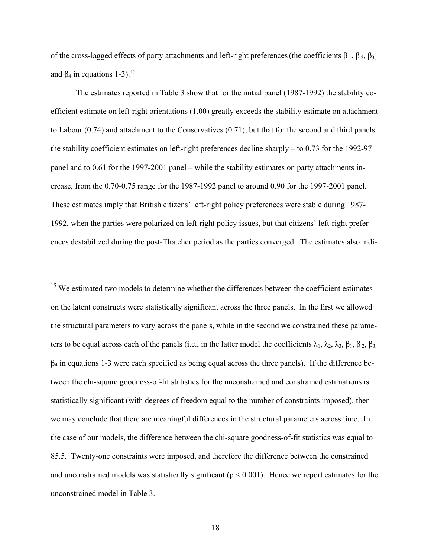of the cross-lagged effects of party attachments and left-right preferences (the coefficients  $\beta_1$ ,  $\beta_2$ ,  $\beta_3$ , and  $\beta_4$  in equations 1-3).<sup>[15](#page-19-0)</sup>

 The estimates reported in Table 3 show that for the initial panel (1987-1992) the stability coefficient estimate on left-right orientations (1.00) greatly exceeds the stability estimate on attachment to Labour (0.74) and attachment to the Conservatives (0.71), but that for the second and third panels the stability coefficient estimates on left-right preferences decline sharply – to 0.73 for the 1992-97 panel and to 0.61 for the 1997-2001 panel – while the stability estimates on party attachments increase, from the 0.70-0.75 range for the 1987-1992 panel to around 0.90 for the 1997-2001 panel. These estimates imply that British citizens' left-right policy preferences were stable during 1987- 1992, when the parties were polarized on left-right policy issues, but that citizens' left-right preferences destabilized during the post-Thatcher period as the parties converged. The estimates also indi-

<span id="page-19-0"></span> $15$  We estimated two models to determine whether the differences between the coefficient estimates on the latent constructs were statistically significant across the three panels. In the first we allowed the structural parameters to vary across the panels, while in the second we constrained these parameters to be equal across each of the panels (i.e., in the latter model the coefficients  $\lambda_1$ ,  $\lambda_2$ ,  $\lambda_3$ ,  $\beta_1$ ,  $\beta_2$ ,  $\beta_3$ ,  $\beta_4$  in equations 1-3 were each specified as being equal across the three panels). If the difference between the chi-square goodness-of-fit statistics for the unconstrained and constrained estimations is statistically significant (with degrees of freedom equal to the number of constraints imposed), then we may conclude that there are meaningful differences in the structural parameters across time. In the case of our models, the difference between the chi-square goodness-of-fit statistics was equal to 85.5. Twenty-one constraints were imposed, and therefore the difference between the constrained and unconstrained models was statistically significant ( $p < 0.001$ ). Hence we report estimates for the unconstrained model in Table 3.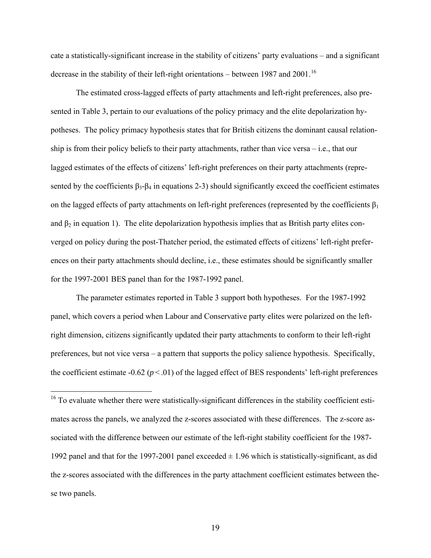cate a statistically-significant increase in the stability of citizens' party evaluations – and a significant decrease in the stability of their left-right orientations – between 1987 and 2001.<sup>[16](#page-20-0)</sup>

The estimated cross-lagged effects of party attachments and left-right preferences, also presented in Table 3, pertain to our evaluations of the policy primacy and the elite depolarization hypotheses. The policy primacy hypothesis states that for British citizens the dominant causal relationship is from their policy beliefs to their party attachments, rather than vice versa – i.e., that our lagged estimates of the effects of citizens' left-right preferences on their party attachments (represented by the coefficients  $\beta_3-\beta_4$  in equations 2-3) should significantly exceed the coefficient estimates on the lagged effects of party attachments on left-right preferences (represented by the coefficients  $\beta_1$ ) and  $\beta_2$  in equation 1). The elite depolarization hypothesis implies that as British party elites converged on policy during the post-Thatcher period, the estimated effects of citizens' left-right preferences on their party attachments should decline, i.e., these estimates should be significantly smaller for the 1997-2001 BES panel than for the 1987-1992 panel.

The parameter estimates reported in Table 3 support both hypotheses. For the 1987-1992 panel, which covers a period when Labour and Conservative party elites were polarized on the leftright dimension, citizens significantly updated their party attachments to conform to their left-right preferences, but not vice versa – a pattern that supports the policy salience hypothesis. Specifically, the coefficient estimate  $-0.62$  ( $p < .01$ ) of the lagged effect of BES respondents' left-right preferences

<span id="page-20-0"></span><sup>&</sup>lt;sup>16</sup> To evaluate whether there were statistically-significant differences in the stability coefficient estimates across the panels, we analyzed the z-scores associated with these differences. The z-score associated with the difference between our estimate of the left-right stability coefficient for the 1987- 1992 panel and that for the 1997-2001 panel exceeded  $\pm$  1.96 which is statistically-significant, as did the z-scores associated with the differences in the party attachment coefficient estimates between these two panels.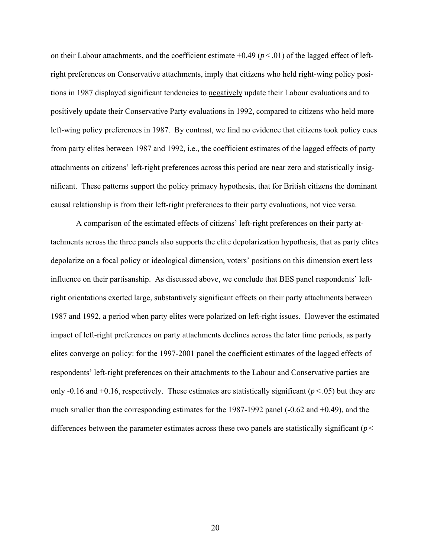on their Labour attachments, and the coefficient estimate  $+0.49$  ( $p < .01$ ) of the lagged effect of leftright preferences on Conservative attachments, imply that citizens who held right-wing policy positions in 1987 displayed significant tendencies to negatively update their Labour evaluations and to positively update their Conservative Party evaluations in 1992, compared to citizens who held more left-wing policy preferences in 1987. By contrast, we find no evidence that citizens took policy cues from party elites between 1987 and 1992, i.e., the coefficient estimates of the lagged effects of party attachments on citizens' left-right preferences across this period are near zero and statistically insignificant. These patterns support the policy primacy hypothesis, that for British citizens the dominant causal relationship is from their left-right preferences to their party evaluations, not vice versa.

A comparison of the estimated effects of citizens' left-right preferences on their party attachments across the three panels also supports the elite depolarization hypothesis, that as party elites depolarize on a focal policy or ideological dimension, voters' positions on this dimension exert less influence on their partisanship. As discussed above, we conclude that BES panel respondents' leftright orientations exerted large, substantively significant effects on their party attachments between 1987 and 1992, a period when party elites were polarized on left-right issues. However the estimated impact of left-right preferences on party attachments declines across the later time periods, as party elites converge on policy: for the 1997-2001 panel the coefficient estimates of the lagged effects of respondents' left-right preferences on their attachments to the Labour and Conservative parties are only -0.16 and +0.16, respectively. These estimates are statistically significant ( $p < .05$ ) but they are much smaller than the corresponding estimates for the 1987-1992 panel (-0.62 and +0.49), and the differences between the parameter estimates across these two panels are statistically significant (*p* <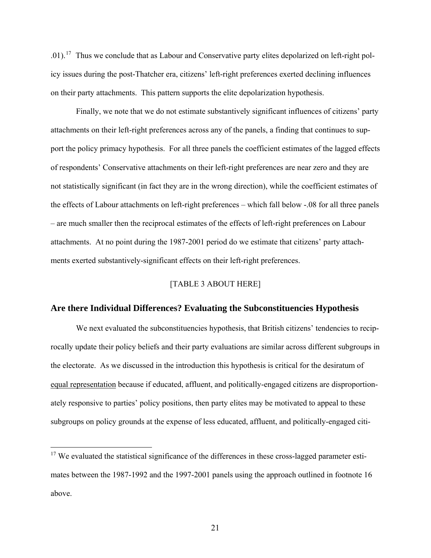.01).<sup>[17](#page-22-0)</sup> Thus we conclude that as Labour and Conservative party elites depolarized on left-right policy issues during the post-Thatcher era, citizens' left-right preferences exerted declining influences on their party attachments. This pattern supports the elite depolarization hypothesis.

Finally, we note that we do not estimate substantively significant influences of citizens' party attachments on their left-right preferences across any of the panels, a finding that continues to support the policy primacy hypothesis. For all three panels the coefficient estimates of the lagged effects of respondents' Conservative attachments on their left-right preferences are near zero and they are not statistically significant (in fact they are in the wrong direction), while the coefficient estimates of the effects of Labour attachments on left-right preferences – which fall below -.08 for all three panels – are much smaller then the reciprocal estimates of the effects of left-right preferences on Labour attachments. At no point during the 1987-2001 period do we estimate that citizens' party attachments exerted substantively-significant effects on their left-right preferences.

### [TABLE 3 ABOUT HERE]

#### **Are there Individual Differences? Evaluating the Subconstituencies Hypothesis**

We next evaluated the subconstituencies hypothesis, that British citizens' tendencies to reciprocally update their policy beliefs and their party evaluations are similar across different subgroups in the electorate. As we discussed in the introduction this hypothesis is critical for the desiratum of equal representation because if educated, affluent, and politically-engaged citizens are disproportionately responsive to parties' policy positions, then party elites may be motivated to appeal to these subgroups on policy grounds at the expense of less educated, affluent, and politically-engaged citi-

<span id="page-22-0"></span> $17$  We evaluated the statistical significance of the differences in these cross-lagged parameter estimates between the 1987-1992 and the 1997-2001 panels using the approach outlined in footnote 16 above.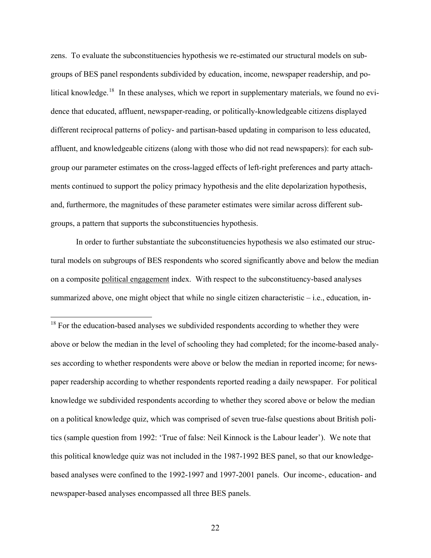zens. To evaluate the subconstituencies hypothesis we re-estimated our structural models on subgroups of BES panel respondents subdivided by education, income, newspaper readership, and po-litical knowledge.<sup>[18](#page-23-0)</sup> In these analyses, which we report in supplementary materials, we found no evidence that educated, affluent, newspaper-reading, or politically-knowledgeable citizens displayed different reciprocal patterns of policy- and partisan-based updating in comparison to less educated, affluent, and knowledgeable citizens (along with those who did not read newspapers): for each subgroup our parameter estimates on the cross-lagged effects of left-right preferences and party attachments continued to support the policy primacy hypothesis and the elite depolarization hypothesis, and, furthermore, the magnitudes of these parameter estimates were similar across different subgroups, a pattern that supports the subconstituencies hypothesis.

In order to further substantiate the subconstituencies hypothesis we also estimated our structural models on subgroups of BES respondents who scored significantly above and below the median on a composite political engagement index. With respect to the subconstituency-based analyses summarized above, one might object that while no single citizen characteristic – i.e., education, in-

<span id="page-23-0"></span> $18$  For the education-based analyses we subdivided respondents according to whether they were above or below the median in the level of schooling they had completed; for the income-based analyses according to whether respondents were above or below the median in reported income; for newspaper readership according to whether respondents reported reading a daily newspaper. For political knowledge we subdivided respondents according to whether they scored above or below the median on a political knowledge quiz, which was comprised of seven true-false questions about British politics (sample question from 1992: 'True of false: Neil Kinnock is the Labour leader'). We note that this political knowledge quiz was not included in the 1987-1992 BES panel, so that our knowledgebased analyses were confined to the 1992-1997 and 1997-2001 panels. Our income-, education- and newspaper-based analyses encompassed all three BES panels.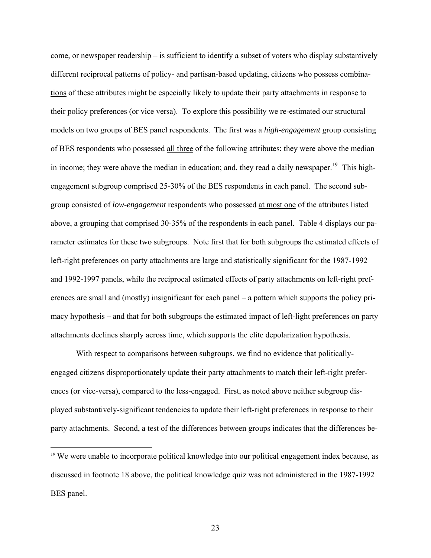come, or newspaper readership – is sufficient to identify a subset of voters who display substantively different reciprocal patterns of policy- and partisan-based updating, citizens who possess combinations of these attributes might be especially likely to update their party attachments in response to their policy preferences (or vice versa). To explore this possibility we re-estimated our structural models on two groups of BES panel respondents. The first was a *high-engagement* group consisting of BES respondents who possessed all three of the following attributes: they were above the median in income; they were above the median in education; and, they read a daily newspaper.<sup>[19](#page-24-0)</sup> This highengagement subgroup comprised 25-30% of the BES respondents in each panel. The second subgroup consisted of *low-engagement* respondents who possessed at most one of the attributes listed above, a grouping that comprised 30-35% of the respondents in each panel. Table 4 displays our parameter estimates for these two subgroups. Note first that for both subgroups the estimated effects of left-right preferences on party attachments are large and statistically significant for the 1987-1992 and 1992-1997 panels, while the reciprocal estimated effects of party attachments on left-right preferences are small and (mostly) insignificant for each panel – a pattern which supports the policy primacy hypothesis – and that for both subgroups the estimated impact of left-light preferences on party attachments declines sharply across time, which supports the elite depolarization hypothesis.

With respect to comparisons between subgroups, we find no evidence that politicallyengaged citizens disproportionately update their party attachments to match their left-right preferences (or vice-versa), compared to the less-engaged. First, as noted above neither subgroup displayed substantively-significant tendencies to update their left-right preferences in response to their party attachments. Second, a test of the differences between groups indicates that the differences be-

<span id="page-24-0"></span><sup>&</sup>lt;sup>19</sup> We were unable to incorporate political knowledge into our political engagement index because, as discussed in footnote 18 above, the political knowledge quiz was not administered in the 1987-1992 BES panel.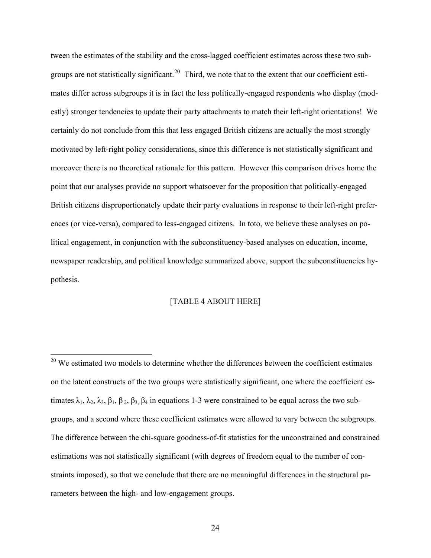tween the estimates of the stability and the cross-lagged coefficient estimates across these two sub-groups are not statistically significant.<sup>[20](#page-25-0)</sup> Third, we note that to the extent that our coefficient estimates differ across subgroups it is in fact the less politically-engaged respondents who display (modestly) stronger tendencies to update their party attachments to match their left-right orientations! We certainly do not conclude from this that less engaged British citizens are actually the most strongly motivated by left-right policy considerations, since this difference is not statistically significant and moreover there is no theoretical rationale for this pattern. However this comparison drives home the point that our analyses provide no support whatsoever for the proposition that politically-engaged British citizens disproportionately update their party evaluations in response to their left-right preferences (or vice-versa), compared to less-engaged citizens. In toto, we believe these analyses on political engagement, in conjunction with the subconstituency-based analyses on education, income, newspaper readership, and political knowledge summarized above, support the subconstituencies hypothesis.

#### [TABLE 4 ABOUT HERE]

<span id="page-25-0"></span> $20$  We estimated two models to determine whether the differences between the coefficient estimates on the latent constructs of the two groups were statistically significant, one where the coefficient estimates  $\lambda_1$ ,  $\lambda_2$ ,  $\lambda_3$ ,  $\beta_1$ ,  $\beta_2$ ,  $\beta_3$ ,  $\beta_4$  in equations 1-3 were constrained to be equal across the two subgroups, and a second where these coefficient estimates were allowed to vary between the subgroups. The difference between the chi-square goodness-of-fit statistics for the unconstrained and constrained estimations was not statistically significant (with degrees of freedom equal to the number of constraints imposed), so that we conclude that there are no meaningful differences in the structural parameters between the high- and low-engagement groups.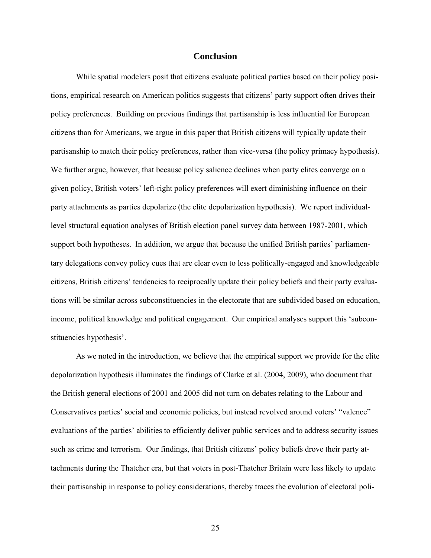#### **Conclusion**

While spatial modelers posit that citizens evaluate political parties based on their policy positions, empirical research on American politics suggests that citizens' party support often drives their policy preferences. Building on previous findings that partisanship is less influential for European citizens than for Americans, we argue in this paper that British citizens will typically update their partisanship to match their policy preferences, rather than vice-versa (the policy primacy hypothesis). We further argue, however, that because policy salience declines when party elites converge on a given policy, British voters' left-right policy preferences will exert diminishing influence on their party attachments as parties depolarize (the elite depolarization hypothesis). We report individuallevel structural equation analyses of British election panel survey data between 1987-2001, which support both hypotheses. In addition, we argue that because the unified British parties' parliamentary delegations convey policy cues that are clear even to less politically-engaged and knowledgeable citizens, British citizens' tendencies to reciprocally update their policy beliefs and their party evaluations will be similar across subconstituencies in the electorate that are subdivided based on education, income, political knowledge and political engagement. Our empirical analyses support this 'subconstituencies hypothesis'.

As we noted in the introduction, we believe that the empirical support we provide for the elite depolarization hypothesis illuminates the findings of Clarke et al. (2004, 2009), who document that the British general elections of 2001 and 2005 did not turn on debates relating to the Labour and Conservatives parties' social and economic policies, but instead revolved around voters' "valence" evaluations of the parties' abilities to efficiently deliver public services and to address security issues such as crime and terrorism. Our findings, that British citizens' policy beliefs drove their party attachments during the Thatcher era, but that voters in post-Thatcher Britain were less likely to update their partisanship in response to policy considerations, thereby traces the evolution of electoral poli-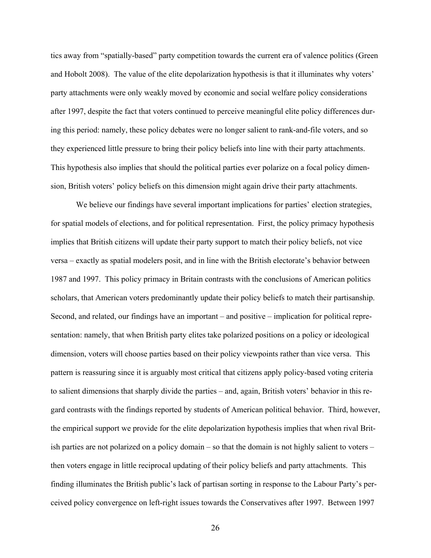tics away from "spatially-based" party competition towards the current era of valence politics (Green and Hobolt 2008). The value of the elite depolarization hypothesis is that it illuminates why voters' party attachments were only weakly moved by economic and social welfare policy considerations after 1997, despite the fact that voters continued to perceive meaningful elite policy differences during this period: namely, these policy debates were no longer salient to rank-and-file voters, and so they experienced little pressure to bring their policy beliefs into line with their party attachments. This hypothesis also implies that should the political parties ever polarize on a focal policy dimension, British voters' policy beliefs on this dimension might again drive their party attachments.

We believe our findings have several important implications for parties' election strategies, for spatial models of elections, and for political representation. First, the policy primacy hypothesis implies that British citizens will update their party support to match their policy beliefs, not vice versa – exactly as spatial modelers posit, and in line with the British electorate's behavior between 1987 and 1997. This policy primacy in Britain contrasts with the conclusions of American politics scholars, that American voters predominantly update their policy beliefs to match their partisanship. Second, and related, our findings have an important – and positive – implication for political representation: namely, that when British party elites take polarized positions on a policy or ideological dimension, voters will choose parties based on their policy viewpoints rather than vice versa. This pattern is reassuring since it is arguably most critical that citizens apply policy-based voting criteria to salient dimensions that sharply divide the parties – and, again, British voters' behavior in this regard contrasts with the findings reported by students of American political behavior. Third, however, the empirical support we provide for the elite depolarization hypothesis implies that when rival British parties are not polarized on a policy domain – so that the domain is not highly salient to voters – then voters engage in little reciprocal updating of their policy beliefs and party attachments. This finding illuminates the British public's lack of partisan sorting in response to the Labour Party's perceived policy convergence on left-right issues towards the Conservatives after 1997. Between 1997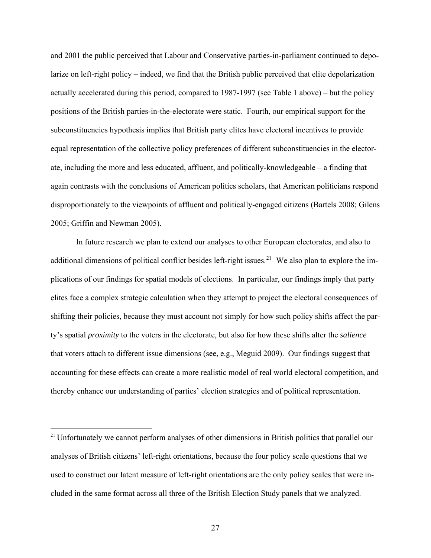and 2001 the public perceived that Labour and Conservative parties-in-parliament continued to depolarize on left-right policy – indeed, we find that the British public perceived that elite depolarization actually accelerated during this period, compared to 1987-1997 (see Table 1 above) – but the policy positions of the British parties-in-the-electorate were static. Fourth, our empirical support for the subconstituencies hypothesis implies that British party elites have electoral incentives to provide equal representation of the collective policy preferences of different subconstituencies in the electorate, including the more and less educated, affluent, and politically-knowledgeable – a finding that again contrasts with the conclusions of American politics scholars, that American politicians respond disproportionately to the viewpoints of affluent and politically-engaged citizens (Bartels 2008; Gilens 2005; Griffin and Newman 2005).

In future research we plan to extend our analyses to other European electorates, and also to additional dimensions of political conflict besides left-right issues.<sup>[21](#page-28-0)</sup> We also plan to explore the implications of our findings for spatial models of elections. In particular, our findings imply that party elites face a complex strategic calculation when they attempt to project the electoral consequences of shifting their policies, because they must account not simply for how such policy shifts affect the party's spatial *proximity* to the voters in the electorate, but also for how these shifts alter the *salience*  that voters attach to different issue dimensions (see, e.g., Meguid 2009). Our findings suggest that accounting for these effects can create a more realistic model of real world electoral competition, and thereby enhance our understanding of parties' election strategies and of political representation.

<span id="page-28-0"></span><sup>&</sup>lt;sup>21</sup> Unfortunately we cannot perform analyses of other dimensions in British politics that parallel our analyses of British citizens' left-right orientations, because the four policy scale questions that we used to construct our latent measure of left-right orientations are the only policy scales that were included in the same format across all three of the British Election Study panels that we analyzed.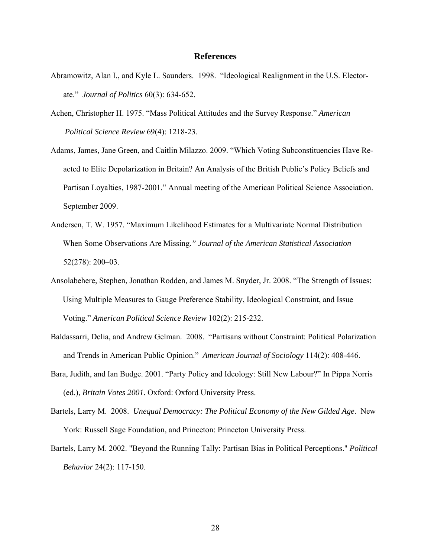#### **References**

- Abramowitz, Alan I., and Kyle L. Saunders. 1998. "Ideological Realignment in the U.S. Electorate." *Journal of Politics* 60(3): 634-652.
- Achen, Christopher H. 1975. "Mass Political Attitudes and the Survey Response." *American Political Science Review* 69(4): 1218-23.
- Adams, James, Jane Green, and Caitlin Milazzo. 2009. "Which Voting Subconstituencies Have Reacted to Elite Depolarization in Britain? An Analysis of the British Public's Policy Beliefs and Partisan Loyalties, 1987-2001." Annual meeting of the American Political Science Association. September 2009.
- Andersen, T. W. 1957. "Maximum Likelihood Estimates for a Multivariate Normal Distribution When Some Observations Are Missing.*" Journal of the American Statistical Association*  52(278): 200–03.
- Ansolabehere, Stephen, Jonathan Rodden, and James M. Snyder, Jr. 2008. "The Strength of Issues: Using Multiple Measures to Gauge Preference Stability, Ideological Constraint, and Issue Voting." *American Political Science Review* 102(2): 215-232.
- Baldassarri, Delia, and Andrew Gelman. 2008. "Partisans without Constraint: Political Polarization and Trends in American Public Opinion." *American Journal of Sociology* 114(2): 408-446.
- Bara, Judith, and Ian Budge. 2001. "Party Policy and Ideology: Still New Labour?" In Pippa Norris (ed.), *Britain Votes 2001*. Oxford: Oxford University Press.
- Bartels, Larry M. 2008. *Unequal Democracy: The Political Economy of the New Gilded Age*. New York: Russell Sage Foundation, and Princeton: Princeton University Press.
- Bartels, Larry M. 2002. "Beyond the Running Tally: Partisan Bias in Political Perceptions." *Political Behavior* 24(2): 117-150.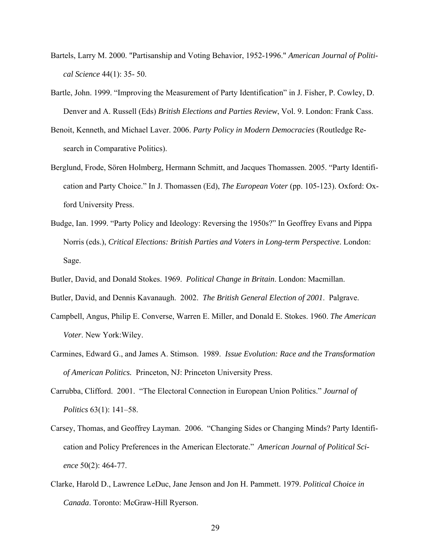- Bartels, Larry M. 2000. "Partisanship and Voting Behavior, 1952-1996." *American Journal of Political Science* 44(1): 35- 50.
- Bartle, John. 1999. "Improving the Measurement of Party Identification" in J. Fisher, P. Cowley, D. Denver and A. Russell (Eds) *British Elections and Parties Review*, Vol. 9. London: Frank Cass.
- Benoit, Kenneth, and Michael Laver. 2006. *Party Policy in Modern Democracies* (Routledge Research in Comparative Politics).
- Berglund, Frode, Sören Holmberg, Hermann Schmitt, and Jacques Thomassen. 2005. "Party Identification and Party Choice." In J. Thomassen (Ed), *The European Voter* (pp. 105-123). Oxford: Oxford University Press.
- Budge, Ian. 1999. "Party Policy and Ideology: Reversing the 1950s?" In Geoffrey Evans and Pippa Norris (eds.), *Critical Elections: British Parties and Voters in Long-term Perspective*. London: Sage.
- Butler, David, and Donald Stokes. 1969. *Political Change in Britain*. London: Macmillan.
- Butler, David, and Dennis Kavanaugh. 2002. *The British General Election of 2001*. Palgrave.
- Campbell, Angus, Philip E. Converse, Warren E. Miller, and Donald E. Stokes. 1960. *The American Voter*. New York:Wiley.
- Carmines, Edward G., and James A. Stimson. 1989. *Issue Evolution: Race and the Transformation of American Politics.* Princeton, NJ: Princeton University Press.
- Carrubba, Clifford. 2001. "The Electoral Connection in European Union Politics." *Journal of Politics* 63(1): 141–58.
- Carsey, Thomas, and Geoffrey Layman. 2006. "Changing Sides or Changing Minds? Party Identification and Policy Preferences in the American Electorate." *American Journal of Political Science* 50(2): 464-77.
- Clarke, Harold D., Lawrence LeDuc, Jane Jenson and Jon H. Pammett. 1979. *Political Choice in Canada*. Toronto: McGraw-Hill Ryerson.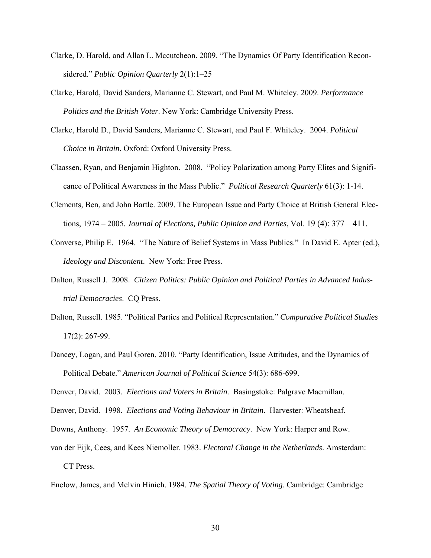- Clarke, D. Harold, and Allan L. Mccutcheon. 2009. "The Dynamics Of Party Identification Reconsidered." *Public Opinion Quarterly* 2(1):1–25
- Clarke, Harold, David Sanders, Marianne C. Stewart, and Paul M. Whiteley. 2009. *Performance Politics and the British Voter*. New York: Cambridge University Press.
- Clarke, Harold D., David Sanders, Marianne C. Stewart, and Paul F. Whiteley. 2004. *Political Choice in Britain*. Oxford: Oxford University Press.
- Claassen, Ryan, and Benjamin Highton. 2008. "Policy Polarization among Party Elites and Significance of Political Awareness in the Mass Public." *Political Research Quarterly* 61(3): 1-14.
- Clements, Ben, and John Bartle. 2009. The European Issue and Party Choice at British General Elections, 1974 – 2005. *Journal of Elections, Public Opinion and Parties*, Vol. 19 (4): 377 – 411.
- Converse, Philip E. 1964. "The Nature of Belief Systems in Mass Publics." In David E. Apter (ed.), *Ideology and Discontent*. New York: Free Press.
- Dalton, Russell J. 2008. *Citizen Politics: Public Opinion and Political Parties in Advanced Industrial Democracies*. CQ Press.
- Dalton, Russell. 1985. "Political Parties and Political Representation." *Comparative Political Studies*  17(2): 267-99.
- Dancey, Logan, and Paul Goren. 2010. "Party Identification, Issue Attitudes, and the Dynamics of Political Debate." *American Journal of Political Science* 54(3): 686-699.

Denver, David. 2003. *Elections and Voters in Britain*. Basingstoke: Palgrave Macmillan.

Denver, David. 1998. *Elections and Voting Behaviour in Britain*. Harvester: Wheatsheaf.

- Downs, Anthony. 1957. *An Economic Theory of Democracy*. New York: Harper and Row.
- van der Eijk, Cees, and Kees Niemoller. 1983. *Electoral Change in the Netherlands*. Amsterdam: CT Press.

Enelow, James, and Melvin Hinich. 1984. *The Spatial Theory of Voting*. Cambridge: Cambridge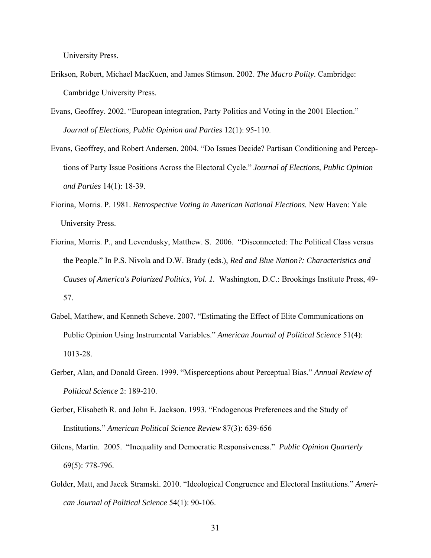University Press.

- Erikson, Robert, Michael MacKuen, and James Stimson. 2002. *The Macro Polity*. Cambridge: Cambridge University Press.
- Evans, Geoffrey. 2002. "European integration, Party Politics and Voting in the 2001 Election." *Journal of Elections, Public Opinion and Parties* 12(1): 95-110.
- Evans, Geoffrey, and Robert Andersen. 2004. "Do Issues Decide? Partisan Conditioning and Perceptions of Party Issue Positions Across the Electoral Cycle." *Journal of Elections, Public Opinion and Parties* 14(1): 18-39.
- Fiorina, Morris. P. 1981. *Retrospective Voting in American National Elections.* New Haven: Yale University Press.
- Fiorina, Morris. P., and Levendusky, Matthew. S. 2006. "Disconnected: The Political Class versus the People." In P.S. Nivola and D.W. Brady (eds.), *Red and Blue Nation?: Characteristics and Causes of America's Polarized Politics, Vol. 1.* Washington, D.C.: Brookings Institute Press, 49- 57.
- Gabel, Matthew, and Kenneth Scheve. 2007. "Estimating the Effect of Elite Communications on Public Opinion Using Instrumental Variables." *American Journal of Political Science* 51(4): 1013-28.
- Gerber, Alan, and Donald Green. 1999. "Misperceptions about Perceptual Bias." *Annual Review of Political Science* 2: 189-210.
- Gerber, Elisabeth R. and John E. Jackson. 1993. "Endogenous Preferences and the Study of Institutions." *American Political Science Review* 87(3): 639-656
- Gilens, Martin. 2005. "Inequality and Democratic Responsiveness." *Public Opinion Quarterly* 69(5): 778-796.
- Golder, Matt, and Jacek Stramski. 2010. "Ideological Congruence and Electoral Institutions." *American Journal of Political Science* 54(1): 90-106.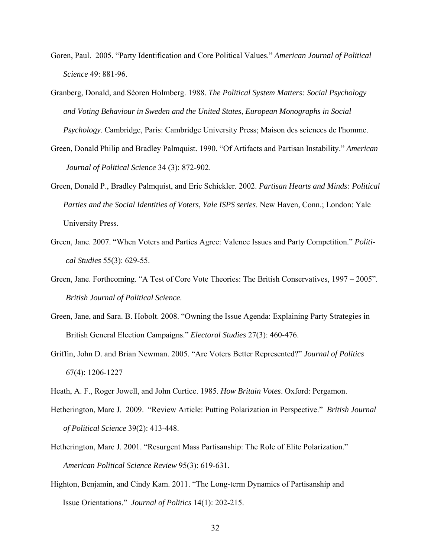- Goren, Paul. 2005. "Party Identification and Core Political Values." *American Journal of Political Science* 49: 881-96.
- Granberg, Donald, and Sèoren Holmberg. 1988. *The Political System Matters: Social Psychology and Voting Behaviour in Sweden and the United States*, *European Monographs in Social Psychology*. Cambridge, Paris: Cambridge University Press; Maison des sciences de l'homme.
- Green, Donald Philip and Bradley Palmquist. 1990. "Of Artifacts and Partisan Instability." *American Journal of Political Science* 34 (3): 872-902.
- Green, Donald P., Bradley Palmquist, and Eric Schickler. 2002. *Partisan Hearts and Minds: Political Parties and the Social Identities of Voters*, *Yale ISPS series*. New Haven, Conn.; London: Yale University Press.
- Green, Jane. 2007. "When Voters and Parties Agree: Valence Issues and Party Competition." *Political Studies* 55(3): 629-55.
- Green, Jane. Forthcoming. "A Test of Core Vote Theories: The British Conservatives, 1997 2005". *British Journal of Political Science*.
- Green, Jane, and Sara. B. Hobolt. 2008. "Owning the Issue Agenda: Explaining Party Strategies in British General Election Campaigns." *Electoral Studies* 27(3): 460-476.
- Griffin, John D. and Brian Newman. 2005. "Are Voters Better Represented?" *Journal of Politics* 67(4): 1206-1227
- Heath, A. F., Roger Jowell, and John Curtice. 1985. *How Britain Votes*. Oxford: Pergamon.
- Hetherington, Marc J. 2009. "Review Article: Putting Polarization in Perspective." *British Journal of Political Science* 39(2): 413-448.
- Hetherington, Marc J. 2001. "Resurgent Mass Partisanship: The Role of Elite Polarization." *American Political Science Review* 95(3): 619-631.
- Highton, Benjamin, and Cindy Kam. 2011. "The Long-term Dynamics of Partisanship and Issue Orientations." *Journal of Politics* 14(1): 202-215.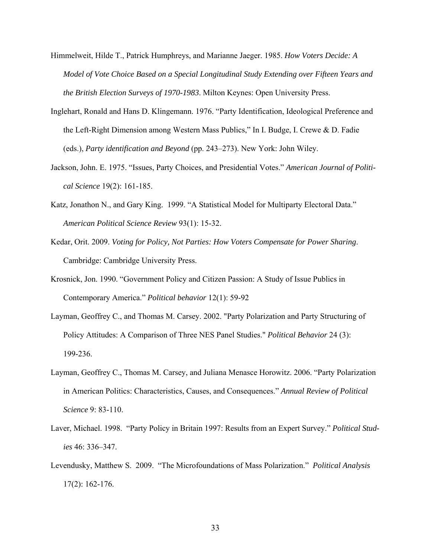- Himmelweit, Hilde T., Patrick Humphreys, and Marianne Jaeger. 1985. *How Voters Decide: A Model of Vote Choice Based on a Special Longitudinal Study Extending over Fifteen Years and the British Election Surveys of 1970-1983*. Milton Keynes: Open University Press.
- Inglehart, Ronald and Hans D. Klingemann. 1976. "Party Identification, Ideological Preference and the Left-Right Dimension among Western Mass Publics," In I. Budge, I. Crewe & D. Fadie (eds.), *Party identification and Beyond* (pp. 243–273). New York: John Wiley.
- Jackson, John. E. 1975. "Issues, Party Choices, and Presidential Votes." *American Journal of Political Science* 19(2): 161-185.
- Katz, Jonathon N., and Gary King. 1999. "A Statistical Model for Multiparty Electoral Data." *American Political Science Review* 93(1): 15-32.
- Kedar, Orit. 2009. *Voting for Policy, Not Parties: How Voters Compensate for Power Sharing*. Cambridge: Cambridge University Press.
- Krosnick, Jon. 1990. "Government Policy and Citizen Passion: A Study of Issue Publics in Contemporary America." *Political behavior* 12(1): 59-92
- Layman, Geoffrey C., and Thomas M. Carsey. 2002. "Party Polarization and Party Structuring of Policy Attitudes: A Comparison of Three NES Panel Studies." *Political Behavior* 24 (3): 199-236.
- Layman, Geoffrey C., Thomas M. Carsey, and Juliana Menasce Horowitz. 2006. "Party Polarization in American Politics: Characteristics, Causes, and Consequences." *Annual Review of Political Science* 9: 83-110.
- Laver, Michael. 1998. "Party Policy in Britain 1997: Results from an Expert Survey." *Political Studies* 46: 336–347.
- Levendusky, Matthew S. 2009. "The Microfoundations of Mass Polarization." *Political Analysis*  17(2): 162-176.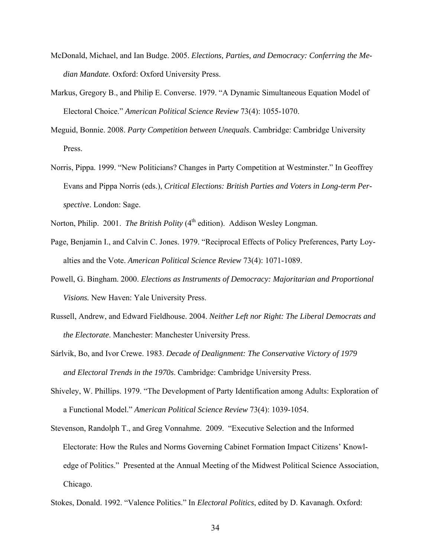- McDonald, Michael, and Ian Budge. 2005. *Elections, Parties, and Democracy: Conferring the Median Mandate.* Oxford: Oxford University Press.
- Markus, Gregory B., and Philip E. Converse. 1979. "A Dynamic Simultaneous Equation Model of Electoral Choice." *American Political Science Review* 73(4): 1055-1070.
- Meguid, Bonnie. 2008. *Party Competition between Unequals*. Cambridge: Cambridge University Press.
- Norris, Pippa. 1999. "New Politicians? Changes in Party Competition at Westminster." In Geoffrey Evans and Pippa Norris (eds.), *Critical Elections: British Parties and Voters in Long-term Perspective*. London: Sage.

Norton, Philip. 2001. *The British Polity* (4<sup>th</sup> edition). Addison Wesley Longman.

- Page, Benjamin I., and Calvin C. Jones. 1979. "Reciprocal Effects of Policy Preferences, Party Loyalties and the Vote. *American Political Science Review* 73(4): 1071-1089.
- Powell, G. Bingham. 2000. *Elections as Instruments of Democracy: Majoritarian and Proportional Visions.* New Haven: Yale University Press.
- Russell, Andrew, and Edward Fieldhouse. 2004. *Neither Left nor Right: The Liberal Democrats and the Electorate*. Manchester: Manchester University Press.
- Sárlvik, Bo, and Ivor Crewe. 1983. *Decade of Dealignment: The Conservative Victory of 1979 and Electoral Trends in the 1970s*. Cambridge: Cambridge University Press.
- Shiveley, W. Phillips. 1979. "The Development of Party Identification among Adults: Exploration of a Functional Model." *American Political Science Review* 73(4): 1039-1054.
- Stevenson, Randolph T., and Greg Vonnahme. 2009. "Executive Selection and the Informed Electorate: How the Rules and Norms Governing Cabinet Formation Impact Citizens' Knowledge of Politics." Presented at the Annual Meeting of the Midwest Political Science Association, Chicago.
- Stokes, Donald. 1992. "Valence Politics." In *Electoral Politics*, edited by D. Kavanagh. Oxford: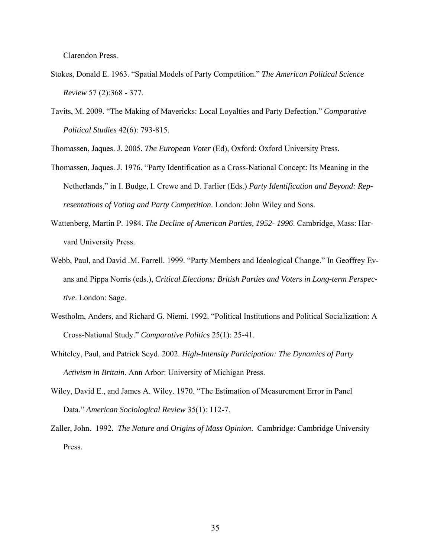Clarendon Press.

- Stokes, Donald E. 1963. "Spatial Models of Party Competition." *The American Political Science Review* 57 (2):368 - 377.
- Tavits, M. 2009. "The Making of Mavericks: Local Loyalties and Party Defection." *Comparative Political Studies* 42(6): 793-815.

Thomassen, Jaques. J. 2005. *The European Voter* (Ed), Oxford: Oxford University Press.

- Thomassen, Jaques. J. 1976. "Party Identification as a Cross-National Concept: Its Meaning in the Netherlands," in I. Budge, I. Crewe and D. Farlier (Eds.) *Party Identification and Beyond: Representations of Voting and Party Competition*. London: John Wiley and Sons.
- Wattenberg, Martin P. 1984. *The Decline of American Parties, 1952- 1996*. Cambridge, Mass: Harvard University Press.
- Webb, Paul, and David .M. Farrell. 1999. "Party Members and Ideological Change." In Geoffrey Evans and Pippa Norris (eds.), *Critical Elections: British Parties and Voters in Long-term Perspective*. London: Sage.
- Westholm, Anders, and Richard G. Niemi. 1992. "Political Institutions and Political Socialization: A Cross-National Study." *Comparative Politics* 25(1): 25-41.
- Whiteley, Paul, and Patrick Seyd. 2002. *High-Intensity Participation: The Dynamics of Party Activism in Britain*. Ann Arbor: University of Michigan Press.
- Wiley, David E., and James A. Wiley. 1970. "The Estimation of Measurement Error in Panel Data." *American Sociological Review* 35(1): 112-7.
- Zaller, John. 1992. *The Nature and Origins of Mass Opinion*. Cambridge: Cambridge University Press.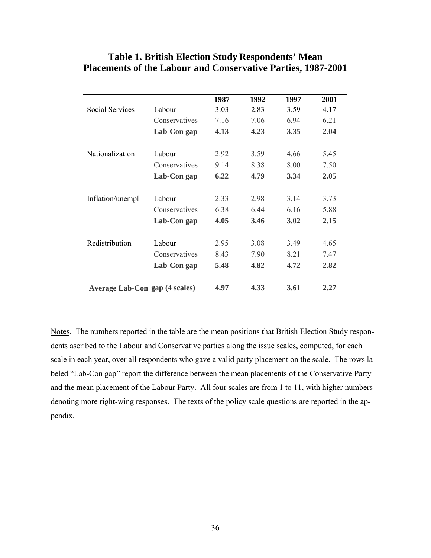|                                |               | 1987 | 1992 | 1997  | 2001 |
|--------------------------------|---------------|------|------|-------|------|
| <b>Social Services</b>         | Labour        | 3.03 | 2.83 | 3.59  | 4.17 |
|                                | Conservatives | 7.16 | 7.06 | 6.94  | 6.21 |
|                                | Lab-Con gap   | 4.13 | 4.23 | 3.35  | 2.04 |
| Nationalization                | Labour        | 2.92 | 3.59 | 4.66  | 5.45 |
|                                | Conservatives | 9.14 | 8.38 | 8.00  | 7.50 |
|                                | Lab-Con gap   | 6.22 | 4.79 | 3.34  | 2.05 |
| Inflation/unempl               | Labour        | 2.33 | 2.98 | 3 1 4 | 3.73 |
|                                | Conservatives | 6.38 | 6 44 | 6 16  | 5.88 |
|                                | Lab-Con gap   | 4.05 | 3.46 | 3.02  | 2.15 |
| Redistribution                 | Labour        | 2.95 | 3.08 | 3.49  | 4.65 |
|                                | Conservatives | 8.43 | 7.90 | 8.21  | 7.47 |
|                                | Lab-Con gap   | 5.48 | 4.82 | 4.72  | 2.82 |
| Average Lab-Con gap (4 scales) |               | 4.97 | 4.33 | 3.61  | 2.27 |

## **Table 1. British Election Study Respondents' Mean Placements of the Labour and Conservative Parties, 1987-2001**

Notes. The numbers reported in the table are the mean positions that British Election Study respondents ascribed to the Labour and Conservative parties along the issue scales, computed, for each scale in each year, over all respondents who gave a valid party placement on the scale. The rows labeled "Lab-Con gap" report the difference between the mean placements of the Conservative Party and the mean placement of the Labour Party. All four scales are from 1 to 11, with higher numbers denoting more right-wing responses. The texts of the policy scale questions are reported in the appendix.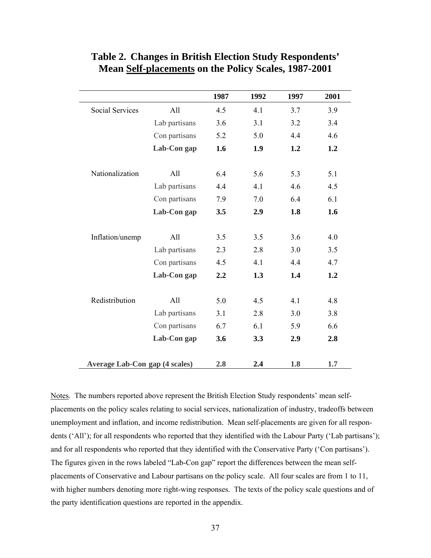|                                       |               | 1987 | 1992 | 1997 | 2001 |
|---------------------------------------|---------------|------|------|------|------|
| <b>Social Services</b>                | All           | 4.5  | 4.1  | 3.7  | 3.9  |
|                                       | Lab partisans | 3.6  | 3.1  | 3.2  | 3.4  |
|                                       | Con partisans | 5.2  | 5.0  | 4.4  | 4.6  |
|                                       | Lab-Con gap   | 1.6  | 1.9  | 1.2  | 1.2  |
| Nationalization                       | All           | 6.4  | 5.6  | 5.3  | 5.1  |
|                                       | Lab partisans | 4.4  | 4.1  | 4.6  | 4.5  |
|                                       | Con partisans | 7.9  | 7.0  | 6.4  | 6.1  |
|                                       | Lab-Con gap   | 3.5  | 2.9  | 1.8  | 1.6  |
| Inflation/unemp                       | All           | 3.5  | 3.5  | 3.6  | 4.0  |
|                                       | Lab partisans | 2.3  | 2.8  | 3.0  | 3.5  |
|                                       | Con partisans | 4.5  | 4.1  | 4.4  | 4.7  |
|                                       | Lab-Con gap   | 2.2  | 1.3  | 1.4  | 1.2  |
| Redistribution                        | All           | 5.0  | 4.5  | 4.1  | 4.8  |
|                                       | Lab partisans | 3.1  | 2.8  | 3.0  | 3.8  |
|                                       | Con partisans | 6.7  | 6.1  | 5.9  | 6.6  |
|                                       | Lab-Con gap   | 3.6  | 3.3  | 2.9  | 2.8  |
| <b>Average Lab-Con gap (4 scales)</b> |               | 2.8  | 2.4  | 1.8  | 1.7  |

# **Table 2. Changes in British Election Study Respondents' Mean Self-placements on the Policy Scales, 1987-2001**

Notes. The numbers reported above represent the British Election Study respondents' mean selfplacements on the policy scales relating to social services, nationalization of industry, tradeoffs between unemployment and inflation, and income redistribution. Mean self-placements are given for all respondents ('All'); for all respondents who reported that they identified with the Labour Party ('Lab partisans'); and for all respondents who reported that they identified with the Conservative Party ('Con partisans'). The figures given in the rows labeled "Lab-Con gap" report the differences between the mean selfplacements of Conservative and Labour partisans on the policy scale. All four scales are from 1 to 11, with higher numbers denoting more right-wing responses. The texts of the policy scale questions and of the party identification questions are reported in the appendix.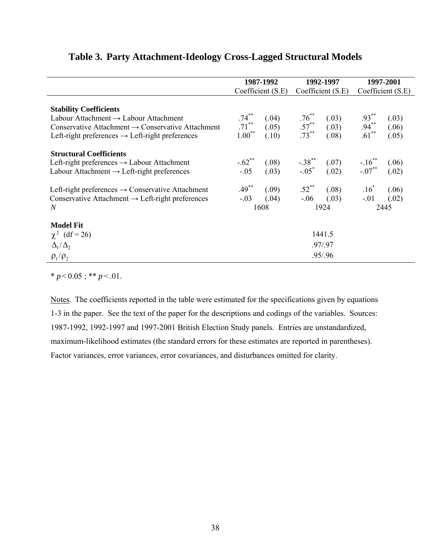|                                                                                                                                                                                                                    | 1987-1992<br>Coefficient (S.E)    |                         | 1992-1997<br>Coefficient (S.E)         |                         | 1997-2001<br>Coefficient (S.E)         |                         |
|--------------------------------------------------------------------------------------------------------------------------------------------------------------------------------------------------------------------|-----------------------------------|-------------------------|----------------------------------------|-------------------------|----------------------------------------|-------------------------|
|                                                                                                                                                                                                                    |                                   |                         |                                        |                         |                                        |                         |
| <b>Stability Coefficients</b><br>Labour Attachment $\rightarrow$ Labour Attachment<br>Conservative Attachment $\rightarrow$ Conservative Attachment<br>Left-right preferences $\rightarrow$ Left-right preferences | $.74***$<br>$.71***$<br>$1.00***$ | (.04)<br>(.05)<br>(.10) | $.76^{**}$<br>$.57^{**}$<br>$.73^{**}$ | (.03)<br>(.03)<br>(.08) | $.93^{**}$<br>$.94^{**}$<br>$.61^{**}$ | (.03)<br>(.06)<br>(.05) |
| <b>Structural Coefficients</b><br>Left-right preferences $\rightarrow$ Labour Attachment<br>Labour Attachment $\rightarrow$ Left-right preferences                                                                 | $-.62**$<br>$-.05$                | (.08)<br>(.03)          | $-0.38$ **<br>$-0.05$ *                | (.07)<br>(.02)          | $-16^{**}$<br>$-07^{**}$               | (.06)<br>(.02)          |
| Left-right preferences $\rightarrow$ Conservative Attachment<br>Conservative Attachment $\rightarrow$ Left-right preferences<br>N                                                                                  | $.49***$<br>$-.03$                | (.09)<br>(.04)<br>1608  | $.52$ <sup>**</sup><br>$-.06$          | (.08)<br>(.03)<br>1924  | $.16^*$<br>$-.01$                      | (.06)<br>(.02)<br>2445  |
| <b>Model Fit</b><br>$\chi^2$ (df = 26)<br>$\Delta_1/\Delta_2$<br>$\rho_1/\rho_2$                                                                                                                                   | 1441.5<br>.97/.97<br>.95/.96      |                         |                                        |                         |                                        |                         |

# **Table 3. Party Attachment-Ideology Cross-Lagged Structural Models**

 $* p < 0.05$ ; \*\*  $p < 0.01$ .

Notes. The coefficients reported in the table were estimated for the specifications given by equations 1-3 in the paper. See the text of the paper for the descriptions and codings of the variables. Sources: 1987-1992, 1992-1997 and 1997-2001 British Election Study panels. Entries are unstandardized, maximum-likelihood estimates (the standard errors for these estimates are reported in parentheses). Factor variances, error variances, error covariances, and disturbances omitted for clarity.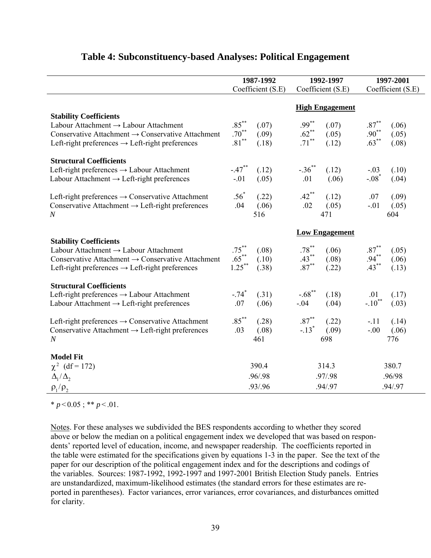|                                                                                                                                                                                                                    | 1987-1992                                                             | 1992-1997                                                                                    | 1997-2001                                                               |  |
|--------------------------------------------------------------------------------------------------------------------------------------------------------------------------------------------------------------------|-----------------------------------------------------------------------|----------------------------------------------------------------------------------------------|-------------------------------------------------------------------------|--|
|                                                                                                                                                                                                                    | Coefficient (S.E)                                                     | Coefficient (S.E)                                                                            | Coefficient (S.E)                                                       |  |
|                                                                                                                                                                                                                    |                                                                       | <b>High Engagement</b>                                                                       |                                                                         |  |
| <b>Stability Coefficients</b><br>Labour Attachment $\rightarrow$ Labour Attachment<br>Conservative Attachment $\rightarrow$ Conservative Attachment<br>Left-right preferences $\rightarrow$ Left-right preferences | $.85***$<br>(.07)<br>$.70^{**}$<br>(.09)<br>$.81^{\ast\ast}$<br>(.18) | $.99***$<br>(.07)<br>$.62$ **<br>(.05)<br>$.71^{\ast\ast}$<br>(.12)                          | $.87^{\ast\ast}$<br>(.06)<br>$.90^{**}$<br>(.05)<br>$.63***$<br>(.08)   |  |
| <b>Structural Coefficients</b><br>Left-right preferences $\rightarrow$ Labour Attachment<br>Labour Attachment $\rightarrow$ Left-right preferences                                                                 | $-.47$ <sup>**</sup><br>(.12)<br>$-.01$<br>(.05)                      | $-.36$ **<br>(.12)<br>.01<br>(.06)                                                           | (.10)<br>$-.03$<br>$-.08*$<br>(.04)                                     |  |
| Left-right preferences $\rightarrow$ Conservative Attachment<br>Conservative Attachment $\rightarrow$ Left-right preferences<br>$\boldsymbol{N}$                                                                   | $.56*$<br>(.22)<br>.04<br>(.06)<br>516                                | $.42$ **<br>(.12)<br>.02<br>(.05)<br>471                                                     | .07<br>(.09)<br>(.05)<br>$-.01$<br>604                                  |  |
| <b>Stability Coefficients</b><br>Labour Attachment $\rightarrow$ Labour Attachment<br>Conservative Attachment $\rightarrow$ Conservative Attachment<br>Left-right preferences $\rightarrow$ Left-right preferences | $.75***$<br>(.08)<br>$.65***$<br>(.10)<br>$1.25***$<br>(.38)          | <b>Low Engagement</b><br>$.78^{\ast\ast}$<br>(.06)<br>$.43***$<br>(.08)<br>$.87***$<br>(.22) | $.87^{\ast\ast}$<br>(.05)<br>$.94^{**}$<br>$.43^{**}$<br>(.06)<br>(.13) |  |
| <b>Structural Coefficients</b><br>Left-right preferences $\rightarrow$ Labour Attachment<br>Labour Attachment $\rightarrow$ Left-right preferences                                                                 | $-.74$ <sup>*</sup><br>(.31)<br>.07<br>(.06)                          | $-.68$ <sup>**</sup><br>(.18)<br>$-.04$<br>(.04)                                             | (.17)<br>.01<br>$-.10$ <sup>**</sup><br>(.03)                           |  |
| Left-right preferences $\rightarrow$ Conservative Attachment<br>Conservative Attachment $\rightarrow$ Left-right preferences<br>$\boldsymbol{N}$                                                                   | $.85***$<br>(.28)<br>(.08)<br>.03<br>461                              | $.87***$<br>(.22)<br>$-.13$ <sup>*</sup><br>(.09)<br>698                                     | $-.11$<br>(.14)<br>(.06)<br>$-.00$<br>776                               |  |
| <b>Model Fit</b><br>$\chi^2$ (df = 172)<br>$\Delta_1/\Delta_2$                                                                                                                                                     | 390.4<br>.96/.98                                                      | 314.3<br>.97/.98                                                                             | 380.7<br>.96/98                                                         |  |
| $\rho_1/\rho_2$                                                                                                                                                                                                    | .93/.96                                                               | .94/.97                                                                                      | .94/.97                                                                 |  |

## **Table 4: Subconstituency-based Analyses: Political Engagement**

 $* p < 0.05$ ;  $* p < 0.01$ .

Notes. For these analyses we subdivided the BES respondents according to whether they scored above or below the median on a political engagement index we developed that was based on respondents' reported level of education, income, and newspaper readership. The coefficients reported in the table were estimated for the specifications given by equations 1-3 in the paper. See the text of the paper for our description of the political engagement index and for the descriptions and codings of the variables. Sources: 1987-1992, 1992-1997 and 1997-2001 British Election Study panels. Entries are unstandardized, maximum-likelihood estimates (the standard errors for these estimates are reported in parentheses). Factor variances, error variances, error covariances, and disturbances omitted for clarity.